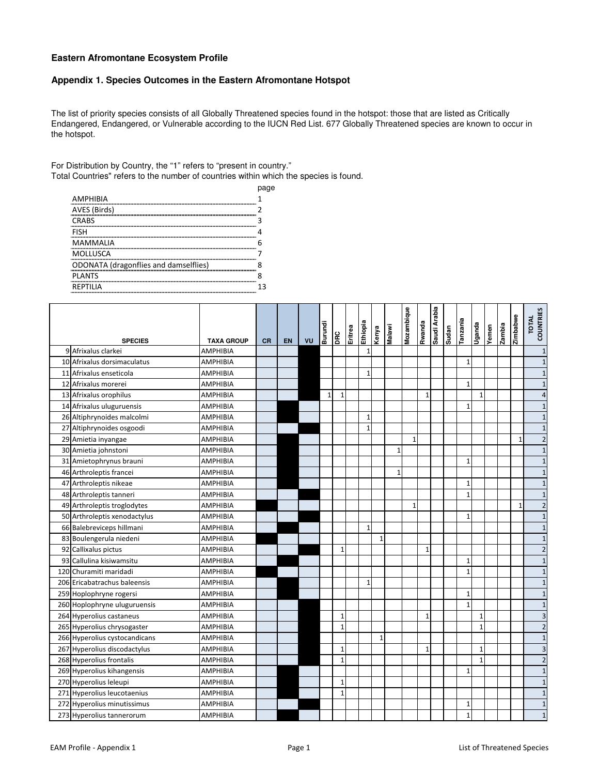## **Eastern Afromontane Ecosystem Profile**

## **Appendix 1. Species Outcomes in the Eastern Afromontane Hotspot**

The list of priority species consists of all Globally Threatened species found in the hotspot: those that are listed as Critically Endangered, Endangered, or Vulnerable according to the IUCN Red List. 677 Globally Threatened species are known to occur in the hotspot.

For Distribution by Country, the "1" refers to "present in country." Total Countries" refers to the number of countries within which the species is found.

|                                              | page |
|----------------------------------------------|------|
| <b>AMPHIBIA</b>                              |      |
| AVES (Birds)                                 |      |
| <b>CRABS</b>                                 |      |
| <b>FISH</b>                                  |      |
| <b>MAMMALIA</b>                              | h    |
| MOLLUSCA                                     |      |
| <b>ODONATA</b> (dragonflies and damselflies) | я    |
| <b>PLANTS</b>                                | 8    |
| <b>REPTILIA</b>                              | 13   |
|                                              |      |

| <b>SPECIES</b>                | <b>TAXA GROUP</b> | <b>CR</b> | <b>EN</b> | VU | Burundi      | <b>OHO</b>   | Eritrea<br>Eritrea | Ethiopia     | Kenya        | Malawi       | Mozambique   | Rwanda       | Saudi Arabia | Sudan | Tanzania     | Uganda       | Yemen | siquez | Zimbabwe     | <b>TOTAL</b><br>COUNTRIES |
|-------------------------------|-------------------|-----------|-----------|----|--------------|--------------|--------------------|--------------|--------------|--------------|--------------|--------------|--------------|-------|--------------|--------------|-------|--------|--------------|---------------------------|
| 9 Afrixalus clarkei           | AMPHIBIA          |           |           |    |              |              |                    | $\mathbf{1}$ |              |              |              |              |              |       |              |              |       |        |              | $\mathbf 1$               |
| 10 Afrixalus dorsimaculatus   | AMPHIBIA          |           |           |    |              |              |                    |              |              |              |              |              |              |       | 1            |              |       |        |              | $\mathbf 1$               |
| 11 Afrixalus enseticola       | AMPHIBIA          |           |           |    |              |              |                    | $\mathbf{1}$ |              |              |              |              |              |       |              |              |       |        |              | $\mathbf 1$               |
| 12 Afrixalus morerei          | AMPHIBIA          |           |           |    |              |              |                    |              |              |              |              |              |              |       | $\mathbf{1}$ |              |       |        |              | $\mathbf 1$               |
| 13 Afrixalus orophilus        | <b>AMPHIBIA</b>   |           |           |    | $\mathbf{1}$ | $\mathbf{1}$ |                    |              |              |              |              | $\mathbf{1}$ |              |       |              | $\mathbf{1}$ |       |        |              | $\overline{4}$            |
| 14 Afrixalus uluguruensis     | <b>AMPHIBIA</b>   |           |           |    |              |              |                    |              |              |              |              |              |              |       | $\mathbf{1}$ |              |       |        |              | $\mathbf 1$               |
| 26 Altiphrynoides malcolmi    | AMPHIBIA          |           |           |    |              |              |                    | $\mathbf{1}$ |              |              |              |              |              |       |              |              |       |        |              | $\mathbf 1$               |
| 27 Altiphrynoides osgoodi     | <b>AMPHIBIA</b>   |           |           |    |              |              |                    | $\mathbf{1}$ |              |              |              |              |              |       |              |              |       |        |              | $\mathbf 1$               |
| 29 Amietia inyangae           | AMPHIBIA          |           |           |    |              |              |                    |              |              |              | $\mathbf{1}$ |              |              |       |              |              |       |        | $\mathbf{1}$ | $\overline{\mathbf{c}}$   |
| 30 Amietia johnstoni          | <b>AMPHIBIA</b>   |           |           |    |              |              |                    |              |              | $\mathbf{1}$ |              |              |              |       |              |              |       |        |              | $\mathbf 1$               |
| 31 Amietophrynus brauni       | <b>AMPHIBIA</b>   |           |           |    |              |              |                    |              |              |              |              |              |              |       | $\mathbf{1}$ |              |       |        |              | $\mathbf 1$               |
| 46 Arthroleptis francei       | AMPHIBIA          |           |           |    |              |              |                    |              |              | $\mathbf{1}$ |              |              |              |       |              |              |       |        |              | $\mathbf 1$               |
| 47 Arthroleptis nikeae        | AMPHIBIA          |           |           |    |              |              |                    |              |              |              |              |              |              |       | $\mathbf{1}$ |              |       |        |              | $\mathbf 1$               |
| 48 Arthroleptis tanneri       | <b>AMPHIBIA</b>   |           |           |    |              |              |                    |              |              |              |              |              |              |       | $\mathbf{1}$ |              |       |        |              | $\mathbf 1$               |
| 49 Arthroleptis troglodytes   | AMPHIBIA          |           |           |    |              |              |                    |              |              |              | $\mathbf{1}$ |              |              |       |              |              |       |        | $\mathbf{1}$ | $\overline{2}$            |
| 50 Arthroleptis xenodactylus  | <b>AMPHIBIA</b>   |           |           |    |              |              |                    |              |              |              |              |              |              |       | $\mathbf{1}$ |              |       |        |              | $\mathbf 1$               |
| 66 Balebreviceps hillmani     | <b>AMPHIBIA</b>   |           |           |    |              |              |                    | $\mathbf{1}$ |              |              |              |              |              |       |              |              |       |        |              | $\mathbf 1$               |
| 83 Boulengerula niedeni       | <b>AMPHIBIA</b>   |           |           |    |              |              |                    |              | $\mathbf{1}$ |              |              |              |              |       |              |              |       |        |              | $\mathbf 1$               |
| 92 Callixalus pictus          | <b>AMPHIBIA</b>   |           |           |    |              | 1            |                    |              |              |              |              | $\mathbf{1}$ |              |       |              |              |       |        |              | $\mathbf 2$               |
| 93 Callulina kisiwamsitu      | <b>AMPHIBIA</b>   |           |           |    |              |              |                    |              |              |              |              |              |              |       | $\mathbf{1}$ |              |       |        |              | $\mathbf 1$               |
| 120 Churamiti maridadi        | <b>AMPHIBIA</b>   |           |           |    |              |              |                    |              |              |              |              |              |              |       | $\mathbf{1}$ |              |       |        |              | $\mathbf 1$               |
| 206 Ericabatrachus baleensis  | <b>AMPHIBIA</b>   |           |           |    |              |              |                    | $\mathbf{1}$ |              |              |              |              |              |       |              |              |       |        |              | $\mathbf 1$               |
| 259 Hoplophryne rogersi       | AMPHIBIA          |           |           |    |              |              |                    |              |              |              |              |              |              |       | $\mathbf{1}$ |              |       |        |              | $\mathbf 1$               |
| 260 Hoplophryne uluguruensis  | <b>AMPHIBIA</b>   |           |           |    |              |              |                    |              |              |              |              |              |              |       | $\mathbf{1}$ |              |       |        |              | $\mathbf 1$               |
| 264 Hyperolius castaneus      | <b>AMPHIBIA</b>   |           |           |    |              | $\mathbf{1}$ |                    |              |              |              |              | $\mathbf{1}$ |              |       |              | $\mathbf{1}$ |       |        |              | $\mathbf{a}$              |
| 265 Hyperolius chrysogaster   | AMPHIBIA          |           |           |    |              | $\mathbf{1}$ |                    |              |              |              |              |              |              |       |              | $\mathbf{1}$ |       |        |              | $\mathbf 2$               |
| 266 Hyperolius cystocandicans | <b>AMPHIBIA</b>   |           |           |    |              |              |                    |              | $\mathbf{1}$ |              |              |              |              |       |              |              |       |        |              | $\mathbf{1}$              |
| 267 Hyperolius discodactylus  | AMPHIBIA          |           |           |    |              | 1            |                    |              |              |              |              | $\mathbf{1}$ |              |       |              | $\mathbf{1}$ |       |        |              | $\overline{\mathbf{3}}$   |
| 268 Hyperolius frontalis      | <b>AMPHIBIA</b>   |           |           |    |              | $\mathbf{1}$ |                    |              |              |              |              |              |              |       |              | $\mathbf{1}$ |       |        |              | $\mathbf 2$               |
| 269 Hyperolius kihangensis    | <b>AMPHIBIA</b>   |           |           |    |              |              |                    |              |              |              |              |              |              |       | $\mathbf{1}$ |              |       |        |              | $\mathbf 1$               |
| 270 Hyperolius leleupi        | <b>AMPHIBIA</b>   |           |           |    |              | $\mathbf{1}$ |                    |              |              |              |              |              |              |       |              |              |       |        |              | $\mathbf 1$               |
| 271 Hyperolius leucotaenius   | <b>AMPHIBIA</b>   |           |           |    |              | $\mathbf{1}$ |                    |              |              |              |              |              |              |       |              |              |       |        |              | $\mathbf 1$               |
| 272 Hyperolius minutissimus   | <b>AMPHIBIA</b>   |           |           |    |              |              |                    |              |              |              |              |              |              |       | 1            |              |       |        |              | $\,1\,$                   |
| 273 Hyperolius tannerorum     | <b>AMPHIBIA</b>   |           |           |    |              |              |                    |              |              |              |              |              |              |       | 1            |              |       |        |              | $\mathbf 1$               |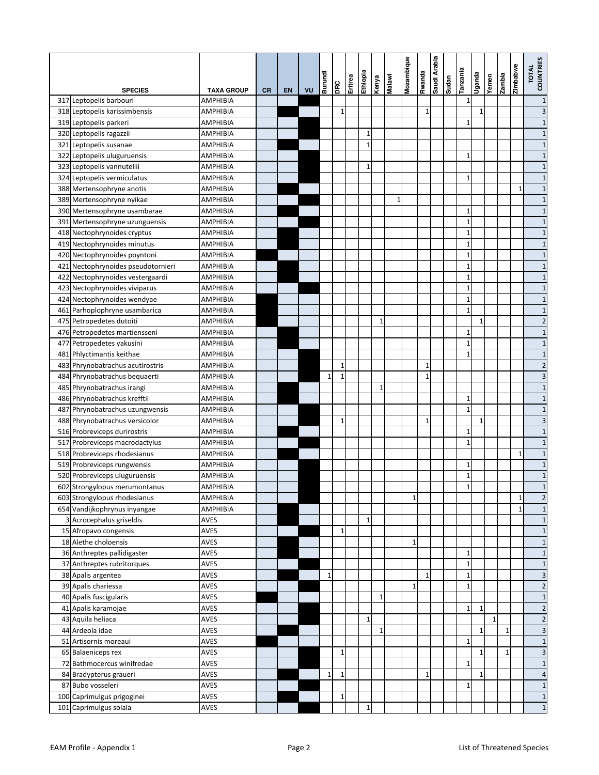|                                    |                   |           |    |    | Burundi      | DRC          | Eritrea | Ethiopia     | Kenya        | Malawi       | Mozambique  | Rwanda       | Saudi Arabia | <b>Sudan</b> | Tanzania                     | Uganda       | Yemen        | zambia | Zimbabwe     | TOTAL<br>COUNTRIES      |
|------------------------------------|-------------------|-----------|----|----|--------------|--------------|---------|--------------|--------------|--------------|-------------|--------------|--------------|--------------|------------------------------|--------------|--------------|--------|--------------|-------------------------|
| <b>SPECIES</b>                     | <b>TAXA GROUP</b> | <b>CR</b> | EN | VU |              |              |         |              |              |              |             |              |              |              |                              |              |              |        |              |                         |
| 317 Leptopelis barbouri            | AMPHIBIA          |           |    |    |              |              |         |              |              |              |             |              |              |              | $\mathbf{1}$                 |              |              |        |              | $\mathbf 1$             |
| 318 Leptopelis karissimbensis      | <b>AMPHIBIA</b>   |           |    |    |              | 1            |         |              |              |              |             | $\mathbf{1}$ |              |              |                              | 1            |              |        |              | 3                       |
| 319 Leptopelis parkeri             | AMPHIBIA          |           |    |    |              |              |         |              |              |              |             |              |              |              | $\mathbf{1}$                 |              |              |        |              | $\mathbf{1}$            |
| 320 Leptopelis ragazzii            | <b>AMPHIBIA</b>   |           |    |    |              |              |         | 1            |              |              |             |              |              |              |                              |              |              |        |              | $\mathbf{1}$            |
| 321 Leptopelis susanae             | <b>AMPHIBIA</b>   |           |    |    |              |              |         | $\mathbf{1}$ |              |              |             |              |              |              |                              |              |              |        |              | $\mathbf{1}$            |
| 322 Leptopelis uluguruensis        | <b>AMPHIBIA</b>   |           |    |    |              |              |         |              |              |              |             |              |              |              | $\mathbf{1}$                 |              |              |        |              | $\mathbf{1}$            |
| 323 Leptopelis vannutellii         | <b>AMPHIBIA</b>   |           |    |    |              |              |         | 1            |              |              |             |              |              |              |                              |              |              |        |              | $\mathbf{1}$            |
| 324 Leptopelis vermiculatus        | <b>AMPHIBIA</b>   |           |    |    |              |              |         |              |              |              |             |              |              |              | $\mathbf{1}$                 |              |              |        |              | $\mathbf{1}$            |
| 388 Mertensophryne anotis          | AMPHIBIA          |           |    |    |              |              |         |              |              |              |             |              |              |              |                              |              |              |        | $\mathbf{1}$ | $\mathbf{1}$            |
| 389 Mertensophryne nyikae          | AMPHIBIA          |           |    |    |              |              |         |              |              | $\mathbf{1}$ |             |              |              |              |                              |              |              |        |              | $\mathbf{1}$            |
| 390 Mertensophryne usambarae       | <b>AMPHIBIA</b>   |           |    |    |              |              |         |              |              |              |             |              |              |              | $\mathbf{1}$                 |              |              |        |              | $\mathbf{1}$            |
| 391 Mertensophryne uzunguensis     | <b>AMPHIBIA</b>   |           |    |    |              |              |         |              |              |              |             |              |              |              | $\mathbf{1}$                 |              |              |        |              | $\mathbf{1}$            |
| 418 Nectophrynoides cryptus        | AMPHIBIA          |           |    |    |              |              |         |              |              |              |             |              |              |              | $\mathbf{1}$                 |              |              |        |              | $\mathbf{1}$            |
| 419 Nectophrynoides minutus        | <b>AMPHIBIA</b>   |           |    |    |              |              |         |              |              |              |             |              |              |              | $\mathbf{1}$                 |              |              |        |              | $\mathbf{1}$            |
| 420 Nectophrynoides poyntoni       | <b>AMPHIBIA</b>   |           |    |    |              |              |         |              |              |              |             |              |              |              | $\mathbf{1}$                 |              |              |        |              | $\mathbf{1}$            |
| 421 Nectophrynoides pseudotornieri | <b>AMPHIBIA</b>   |           |    |    |              |              |         |              |              |              |             |              |              |              | $\mathbf{1}$                 |              |              |        |              | $\mathbf{1}$            |
| 422 Nectophrynoides vestergaardi   | AMPHIBIA          |           |    |    |              |              |         |              |              |              |             |              |              |              | $\mathbf{1}$                 |              |              |        |              | $\mathbf{1}$            |
| 423 Nectophrynoides viviparus      | <b>AMPHIBIA</b>   |           |    |    |              |              |         |              |              |              |             |              |              |              | $\mathbf 1$                  |              |              |        |              | $\mathbf{1}$            |
| 424 Nectophrynoides wendyae        | AMPHIBIA          |           |    |    |              |              |         |              |              |              |             |              |              |              | $\mathbf{1}$<br>$\mathbf{1}$ |              |              |        |              | $\mathbf{1}$            |
| 461 Parhoplophryne usambarica      | <b>AMPHIBIA</b>   |           |    |    |              |              |         |              |              |              |             |              |              |              |                              |              |              |        |              | $\mathbf{1}$            |
| 475 Petropedetes dutoiti           | <b>AMPHIBIA</b>   |           |    |    |              |              |         |              | $\mathbf{1}$ |              |             |              |              |              |                              | $\mathbf{1}$ |              |        |              | $\overline{c}$          |
| 476 Petropedetes martiensseni      | AMPHIBIA          |           |    |    |              |              |         |              |              |              |             |              |              |              | $\mathbf{1}$                 |              |              |        |              | $\mathbf{1}$            |
| 477 Petropedetes yakusini          | <b>AMPHIBIA</b>   |           |    |    |              |              |         |              |              |              |             |              |              |              | $\mathbf{1}$                 |              |              |        |              | $\mathbf{1}$            |
| 481 Phlyctimantis keithae          | <b>AMPHIBIA</b>   |           |    |    |              |              |         |              |              |              |             |              |              |              | $\mathbf{1}$                 |              |              |        |              | $\mathbf{1}$            |
| 483 Phrynobatrachus acutirostris   | AMPHIBIA          |           |    |    |              | 1            |         |              |              |              |             | $\mathbf{1}$ |              |              |                              |              |              |        |              | $\overline{c}$          |
| 484 Phrynobatrachus bequaerti      | AMPHIBIA          |           |    |    | 1            | $\mathbf{1}$ |         |              |              |              |             | 1            |              |              |                              |              |              |        |              | 3                       |
| 485 Phrynobatrachus irangi         | AMPHIBIA          |           |    |    |              |              |         |              | 1            |              |             |              |              |              |                              |              |              |        |              | $\overline{1}$          |
| 486 Phrynobatrachus krefftii       | <b>AMPHIBIA</b>   |           |    |    |              |              |         |              |              |              |             |              |              |              | $\mathbf{1}$                 |              |              |        |              | $\mathbf{1}$            |
| 487 Phrynobatrachus uzungwensis    | AMPHIBIA          |           |    |    |              |              |         |              |              |              |             |              |              |              | $\mathbf{1}$                 |              |              |        |              | $\mathbf{1}$            |
| 488 Phrynobatrachus versicolor     | <b>AMPHIBIA</b>   |           |    |    |              | $\mathbf{1}$ |         |              |              |              |             | $\mathbf{1}$ |              |              |                              | $\mathbf{1}$ |              |        |              | 3                       |
| 516 Probreviceps durirostris       | <b>AMPHIBIA</b>   |           |    |    |              |              |         |              |              |              |             |              |              |              | $\mathbf{1}$                 |              |              |        |              | $\mathbf{1}$            |
| 517 Probreviceps macrodactylus     | <b>AMPHIBIA</b>   |           |    |    |              |              |         |              |              |              |             |              |              |              | $\mathbf{1}$                 |              |              |        |              | $\mathbf{1}$            |
| 518 Probreviceps rhodesianus       | <b>AMPHIBIA</b>   |           |    |    |              |              |         |              |              |              |             |              |              |              |                              |              |              |        | 1            | $\mathbf{1}$            |
| 519 Probreviceps rungwensis        | AMPHIBIA          |           |    |    |              |              |         |              |              |              |             |              |              |              | $\mathbf 1$                  |              |              |        |              | $\mathbf{1}$            |
| 520 Probreviceps uluguruensis      | AMPHIBIA          |           |    |    |              |              |         |              |              |              |             |              |              |              | $\mathbf 1$                  |              |              |        |              | $\mathbf{1}$            |
| 602 Strongylopus merumontanus      | AMPHIBIA          |           |    |    |              |              |         |              |              |              |             |              |              |              | $\mathbf{1}$                 |              |              |        |              | $\mathbf{1}$            |
| 603 Strongylopus rhodesianus       | <b>AMPHIBIA</b>   |           |    |    |              |              |         |              |              |              | $\mathbf 1$ |              |              |              |                              |              |              |        | $\mathbf{1}$ | $\overline{\mathbf{c}}$ |
| 654 Vandijkophrynus inyangae       | <b>AMPHIBIA</b>   |           |    |    |              |              |         |              |              |              |             |              |              |              |                              |              |              |        | $\mathbf{1}$ | $\mathbf{1}$            |
| 3 Acrocephalus griseldis           | <b>AVES</b>       |           |    |    |              |              |         | $1\,$        |              |              |             |              |              |              |                              |              |              |        |              | $\mathbf{1}$            |
| 15 Afropavo congensis              | AVES              |           |    |    |              | $1\,$        |         |              |              |              |             |              |              |              |                              |              |              |        |              | $\mathbf{1}$            |
| 18 Alethe choloensis               | AVES              |           |    |    |              |              |         |              |              |              | 1           |              |              |              |                              |              |              |        |              | $\mathbf{1}$            |
| 36 Anthreptes pallidigaster        | AVES              |           |    |    |              |              |         |              |              |              |             |              |              |              | 1                            |              |              |        |              | $\mathbf{1}$            |
| 37 Anthreptes rubritorques         | AVES              |           |    |    |              |              |         |              |              |              |             |              |              |              | $\mathbf 1$                  |              |              |        |              | $\mathbf{1}$            |
| 38 Apalis argentea                 | AVES              |           |    |    | $\mathbf{1}$ |              |         |              |              |              |             | $\mathbf{1}$ |              |              | $\mathbf 1$                  |              |              |        |              | 3                       |
| 39 Apalis chariessa                | AVES              |           |    |    |              |              |         |              |              |              | $\mathbf 1$ |              |              |              | $\mathbf{1}$                 |              |              |        |              | $\overline{c}$          |
| 40 Apalis fuscigularis             | <b>AVES</b>       |           |    |    |              |              |         |              | $\mathbf{1}$ |              |             |              |              |              |                              |              |              |        |              | $\mathbf{1}$            |
| 41 Apalis karamojae                | AVES              |           |    |    |              |              |         |              |              |              |             |              |              |              | $\mathbf 1$                  | $\mathbf{1}$ |              |        |              | $\overline{\mathbf{c}}$ |
| 43 Aquila heliaca                  | AVES              |           |    |    |              |              |         | $1\,$        |              |              |             |              |              |              |                              |              | $\mathbf{1}$ |        |              | $\overline{\mathbf{c}}$ |
| 44 Ardeola idae                    | AVES              |           |    |    |              |              |         |              | 1            |              |             |              |              |              |                              | 1            |              | 1      |              | 3                       |
| 51 Artisornis moreaui              | AVES              |           |    |    |              |              |         |              |              |              |             |              |              |              | $\mathbf{1}$                 |              |              |        |              | $\mathbf{1}$            |
| 65 Balaeniceps rex                 | AVES              |           |    |    |              | $1\,$        |         |              |              |              |             |              |              |              |                              | 1            |              | 1      |              | 3                       |
| 72 Bathmocercus winifredae         | AVES              |           |    |    |              |              |         |              |              |              |             |              |              |              | $\mathbf{1}$                 |              |              |        |              | $\mathbf{1}$            |
| 84 Bradypterus graueri             | <b>AVES</b>       |           |    |    | $\mathbf 1$  | 1            |         |              |              |              |             | $\mathbf{1}$ |              |              |                              | $\mathbf{1}$ |              |        |              | $\overline{4}$          |
| 87 Bubo vosseleri                  | <b>AVES</b>       |           |    |    |              |              |         |              |              |              |             |              |              |              | $\mathbf{1}$                 |              |              |        |              | $\mathbf{1}$            |
| 100 Caprimulgus prigoginei         | <b>AVES</b>       |           |    |    |              | $\mathbf 1$  |         |              |              |              |             |              |              |              |                              |              |              |        |              | $\mathbf{1}$            |
| 101 Caprimulgus solala             | <b>AVES</b>       |           |    |    |              |              |         | $\mathbf 1$  |              |              |             |              |              |              |                              |              |              |        |              | $\mathbf{1}$            |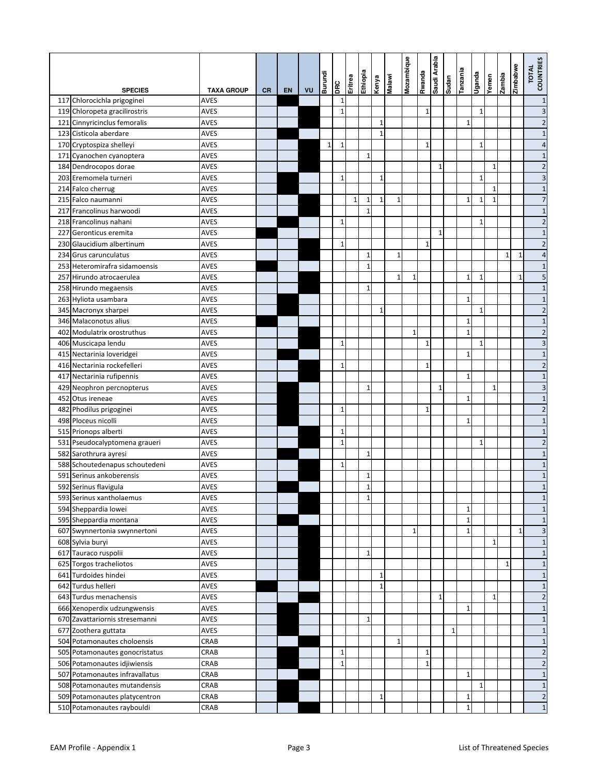|                                |                   |           |           |    | Burundi      | <b>DRC</b>   | Eritrea      | Ethiopia     | Kenya        | Malawi       | Mozambique   | epuewy       | Saudi Arabia | Sudan        | eiuezuel     | epueĥ∩       | Yemen        | <b>Eiquuez</b> | Zimbabwe     | TOTAL<br>COUNTRIES |
|--------------------------------|-------------------|-----------|-----------|----|--------------|--------------|--------------|--------------|--------------|--------------|--------------|--------------|--------------|--------------|--------------|--------------|--------------|----------------|--------------|--------------------|
| <b>SPECIES</b>                 | <b>TAXA GROUP</b> | <b>CR</b> | <b>EN</b> | VU |              |              |              |              |              |              |              |              |              |              |              |              |              |                |              |                    |
| 117 Chlorocichla prigoginei    | <b>AVES</b>       |           |           |    |              | 1            |              |              |              |              |              |              |              |              |              |              |              |                |              | $\mathbf{1}$       |
| 119 Chloropeta gracilirostris  | <b>AVES</b>       |           |           |    |              | $\mathbf{1}$ |              |              |              |              |              | $\mathbf{1}$ |              |              |              | $\mathbf{1}$ |              |                |              | 3                  |
| 121 Cinnyricinclus femoralis   | <b>AVES</b>       |           |           |    |              |              |              |              | $\mathbf{1}$ |              |              |              |              |              | $\mathbf 1$  |              |              |                |              | $\overline{c}$     |
| 123 Cisticola aberdare         | <b>AVES</b>       |           |           |    |              |              |              |              | $\mathbf{1}$ |              |              |              |              |              |              |              |              |                |              | $\mathbf{1}$       |
| 170 Cryptospiza shelleyi       | <b>AVES</b>       |           |           |    | $\mathbf{1}$ | $\mathbf{1}$ |              |              |              |              |              | $\mathbf{1}$ |              |              |              | $\mathbf{1}$ |              |                |              | 4                  |
| 171 Cyanochen cyanoptera       | <b>AVES</b>       |           |           |    |              |              |              | $1\,$        |              |              |              |              |              |              |              |              |              |                |              | $\mathbf{1}$       |
| 184 Dendrocopos dorae          | <b>AVES</b>       |           |           |    |              |              |              |              |              |              |              |              | $\mathbf{1}$ |              |              |              | $\mathbf{1}$ |                |              | $\overline{c}$     |
| 203 Eremomela turneri          | <b>AVES</b>       |           |           |    |              | $\mathbf{1}$ |              |              | 1            |              |              |              |              |              |              | $\mathbf{1}$ |              |                |              | 3                  |
| 214 Falco cherrug              | <b>AVES</b>       |           |           |    |              |              |              |              |              |              |              |              |              |              |              |              | 1            |                |              | $\mathbf{1}$       |
| 215 Falco naumanni             | <b>AVES</b>       |           |           |    |              |              | $\mathbf{1}$ | 1            | $\mathbf{1}$ | $\mathbf{1}$ |              |              |              |              | $\mathbf{1}$ | 1            | $\mathbf{1}$ |                |              | $\overline{7}$     |
| 217 Francolinus harwoodi       | <b>AVES</b>       |           |           |    |              |              |              | $\mathbf{1}$ |              |              |              |              |              |              |              |              |              |                |              | $\mathbf{1}$       |
| 218 Francolinus nahani         | <b>AVES</b>       |           |           |    |              | $\mathbf{1}$ |              |              |              |              |              |              |              |              |              | 1            |              |                |              | $\overline{2}$     |
| 227 Geronticus eremita         | <b>AVES</b>       |           |           |    |              |              |              |              |              |              |              |              | $\mathbf{1}$ |              |              |              |              |                |              | $1\,$              |
| 230 Glaucidium albertinum      | <b>AVES</b>       |           |           |    |              | $\mathbf{1}$ |              |              |              |              |              | $\mathbf{1}$ |              |              |              |              |              |                |              | $\overline{2}$     |
| 234 Grus carunculatus          | <b>AVES</b>       |           |           |    |              |              |              | 1            |              | $\mathbf{1}$ |              |              |              |              |              |              |              | $\mathbf{1}$   | $\mathbf{1}$ | $\overline{a}$     |
| 253 Heteromirafra sidamoensis  | <b>AVES</b>       |           |           |    |              |              |              | $\mathbf{1}$ |              |              |              |              |              |              |              |              |              |                |              | $\mathbf{1}$       |
| 257 Hirundo atrocaerulea       | <b>AVES</b>       |           |           |    |              |              |              |              |              | $\mathbf{1}$ | $\mathbf{1}$ |              |              |              | 1            | 1            |              |                | $\mathbf{1}$ | 5                  |
| 258 Hirundo megaensis          | <b>AVES</b>       |           |           |    |              |              |              | $\mathbf{1}$ |              |              |              |              |              |              |              |              |              |                |              | $\mathbf{1}$       |
| 263 Hyliota usambara           | <b>AVES</b>       |           |           |    |              |              |              |              |              |              |              |              |              |              | $\mathbf{1}$ |              |              |                |              | $\mathbf{1}$       |
| 345 Macronyx sharpei           | <b>AVES</b>       |           |           |    |              |              |              |              | 1            |              |              |              |              |              |              | 1            |              |                |              | $\overline{2}$     |
| 346 Malaconotus alius          | <b>AVES</b>       |           |           |    |              |              |              |              |              |              |              |              |              |              | $\mathbf{1}$ |              |              |                |              | $\mathbf{1}$       |
| 402 Modulatrix orostruthus     | <b>AVES</b>       |           |           |    |              |              |              |              |              |              | $\mathbf{1}$ |              |              |              | $\mathbf{1}$ |              |              |                |              | $\overline{c}$     |
| 406 Muscicapa lendu            | <b>AVES</b>       |           |           |    |              | $\mathbf{1}$ |              |              |              |              |              | $\mathbf{1}$ |              |              |              | $\mathbf{1}$ |              |                |              | 3                  |
| 415 Nectarinia loveridgei      | <b>AVES</b>       |           |           |    |              |              |              |              |              |              |              |              |              |              | $\mathbf{1}$ |              |              |                |              | $\mathbf{1}$       |
| 416 Nectarinia rockefelleri    | AVES              |           |           |    |              | $\mathbf{1}$ |              |              |              |              |              | 1            |              |              |              |              |              |                |              | $\overline{2}$     |
| 417 Nectarinia rufipennis      | <b>AVES</b>       |           |           |    |              |              |              |              |              |              |              |              |              |              | $\mathbf{1}$ |              |              |                |              | $1\,$              |
| 429 Neophron percnopterus      | <b>AVES</b>       |           |           |    |              |              |              | 1            |              |              |              |              | $\mathbf{1}$ |              |              |              | $\mathbf{1}$ |                |              | 3                  |
| 452 Otus ireneae               | AVES              |           |           |    |              |              |              |              |              |              |              |              |              |              | $\mathbf{1}$ |              |              |                |              | $\mathbf{1}$       |
| 482 Phodilus prigoginei        | <b>AVES</b>       |           |           |    |              | $\mathbf{1}$ |              |              |              |              |              | $\mathbf{1}$ |              |              |              |              |              |                |              | $\overline{2}$     |
| 498 Ploceus nicolli            | <b>AVES</b>       |           |           |    |              |              |              |              |              |              |              |              |              |              | $\mathbf{1}$ |              |              |                |              | $1\,$              |
| 515 Prionops alberti           | <b>AVES</b>       |           |           |    |              | $\mathbf{1}$ |              |              |              |              |              |              |              |              |              |              |              |                |              | $\mathbf{1}$       |
| 531 Pseudocalyptomena graueri  | <b>AVES</b>       |           |           |    |              | $\mathbf{1}$ |              |              |              |              |              |              |              |              |              | $\mathbf{1}$ |              |                |              | $\overline{c}$     |
| 582 Sarothrura ayresi          | <b>AVES</b>       |           |           |    |              |              |              | 1            |              |              |              |              |              |              |              |              |              |                |              | $1\,$              |
| 588 Schoutedenapus schoutedeni | <b>AVES</b>       |           |           |    |              | $\mathbf{1}$ |              |              |              |              |              |              |              |              |              |              |              |                |              | $1\,$              |
| 591 Serinus ankoberensis       | <b>AVES</b>       |           |           |    |              |              |              | 1            |              |              |              |              |              |              |              |              |              |                |              | $1\,$              |
| 592 Serinus flavigula          | AVES              |           |           |    |              |              |              | $\mathbf{1}$ |              |              |              |              |              |              |              |              |              |                |              | $\mathbf{1}$       |
| 593 Serinus xantholaemus       | <b>AVES</b>       |           |           |    |              |              |              | 1            |              |              |              |              |              |              |              |              |              |                |              | $1\,$              |
| 594 Sheppardia lowei           | AVES              |           |           |    |              |              |              |              |              |              |              |              |              |              | $\mathbf{1}$ |              |              |                |              | $1\,$              |
| 595 Sheppardia montana         | <b>AVES</b>       |           |           |    |              |              |              |              |              |              |              |              |              |              | $\mathbf{1}$ |              |              |                |              | $\mathbf{1}$       |
| 607 Swynnertonia swynnertoni   | AVES              |           |           |    |              |              |              |              |              |              | 1            |              |              |              | $\mathbf{1}$ |              |              |                | 1            | 3                  |
| 608 Sylvia buryi               | <b>AVES</b>       |           |           |    |              |              |              |              |              |              |              |              |              |              |              |              | $\mathbf{1}$ |                |              | $1\,$              |
| 617 Tauraco ruspolii           | <b>AVES</b>       |           |           |    |              |              |              | 1            |              |              |              |              |              |              |              |              |              |                |              | $1\,$              |
| 625 Torgos tracheliotos        | <b>AVES</b>       |           |           |    |              |              |              |              |              |              |              |              |              |              |              |              |              | 1              |              | $1\,$              |
| 641 Turdoides hindei           | AVES              |           |           |    |              |              |              |              | 1            |              |              |              |              |              |              |              |              |                |              | $1\,$              |
| 642 Turdus helleri             | <b>AVES</b>       |           |           |    |              |              |              |              | 1            |              |              |              |              |              |              |              |              |                |              | $1\,$              |
| 643 Turdus menachensis         | <b>AVES</b>       |           |           |    |              |              |              |              |              |              |              |              | $\mathbf{1}$ |              |              |              | $\mathbf{1}$ |                |              | $\overline{2}$     |
| 666 Xenoperdix udzungwensis    | <b>AVES</b>       |           |           |    |              |              |              |              |              |              |              |              |              |              | $\mathbf{1}$ |              |              |                |              | $\mathbf{1}$       |
| 670 Zavattariornis stresemanni | <b>AVES</b>       |           |           |    |              |              |              | $\mathbf{1}$ |              |              |              |              |              |              |              |              |              |                |              | $\mathbf{1}$       |
|                                | <b>AVES</b>       |           |           |    |              |              |              |              |              |              |              |              |              | $\mathbf{1}$ |              |              |              |                |              |                    |
| 677 Zoothera guttata           |                   |           |           |    |              |              |              |              |              | $\mathbf{1}$ |              |              |              |              |              |              |              |                |              | $\mathbf{1}$       |
| 504 Potamonautes choloensis    | CRAB              |           |           |    |              |              |              |              |              |              |              |              |              |              |              |              |              |                |              | $\mathbf{1}$       |
| 505 Potamonautes gonocristatus | CRAB              |           |           |    |              | 1            |              |              |              |              |              | 1            |              |              |              |              |              |                |              | $\overline{2}$     |
| 506 Potamonautes idjiwiensis   | CRAB              |           |           |    |              | $\mathbf{1}$ |              |              |              |              |              | $\mathbf{1}$ |              |              |              |              |              |                |              | $\overline{2}$     |
| 507 Potamonautes infravallatus | CRAB              |           |           |    |              |              |              |              |              |              |              |              |              |              | $\mathbf{1}$ |              |              |                |              | $1\,$              |
| 508 Potamonautes mutandensis   | CRAB              |           |           |    |              |              |              |              |              |              |              |              |              |              |              | $\mathbf 1$  |              |                |              | $\mathbf{1}$       |
| 509 Potamonautes platycentron  | CRAB              |           |           |    |              |              |              |              | $1\,$        |              |              |              |              |              | $\mathbf 1$  |              |              |                |              | $\overline{2}$     |
| 510 Potamonautes raybouldi     | CRAB              |           |           |    |              |              |              |              |              |              |              |              |              |              | $\mathbf 1$  |              |              |                |              | $\mathbf{1}$       |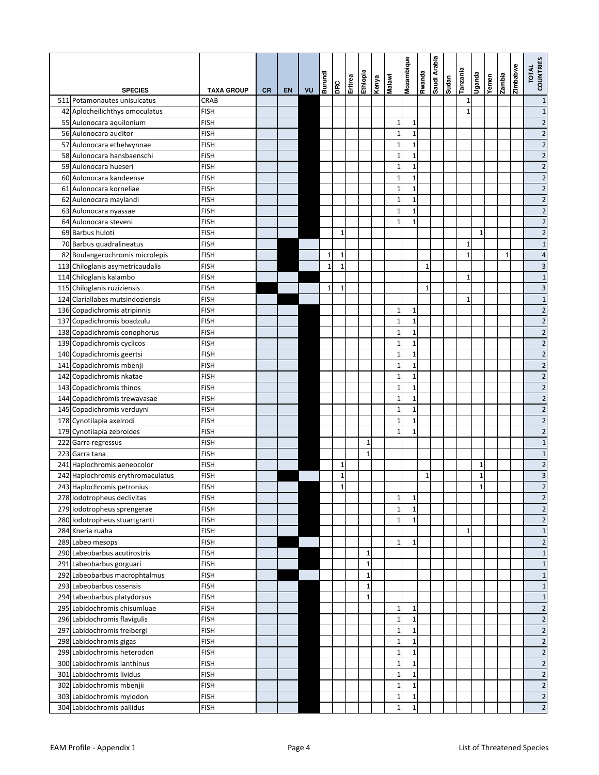|                                                |                            |           |    |    | <b>Burundi</b> |              | Eritrea | Ethiopia     | Kenya | Malawi                       | Mozambique                  | spuewa       | Saudi Arabia | uepns | Tanzania     | Poue         | Yemen | zambia       | Zimbabwe | TOTAL<br>COUNTRIES               |
|------------------------------------------------|----------------------------|-----------|----|----|----------------|--------------|---------|--------------|-------|------------------------------|-----------------------------|--------------|--------------|-------|--------------|--------------|-------|--------------|----------|----------------------------------|
| <b>SPECIES</b>                                 | <b>TAXA GROUP</b>          | <b>CR</b> | EN | VU |                | DRC          |         |              |       |                              |                             |              |              |       |              |              |       |              |          |                                  |
| 511 Potamonautes unisulcatus                   | CRAB                       |           |    |    |                |              |         |              |       |                              |                             |              |              |       | $1\,$        |              |       |              |          | $\mathbf{1}$                     |
| 42 Aplocheilichthys omoculatus                 | <b>FISH</b>                |           |    |    |                |              |         |              |       |                              |                             |              |              |       | $\mathbf{1}$ |              |       |              |          | $\mathbf{1}$                     |
| 55 Aulonocara aquilonium                       | <b>FISH</b>                |           |    |    |                |              |         |              |       | 1                            | 1                           |              |              |       |              |              |       |              |          | $\overline{2}$                   |
| 56 Aulonocara auditor                          | <b>FISH</b>                |           |    |    |                |              |         |              |       | $\overline{1}$               | $\mathbf 1$                 |              |              |       |              |              |       |              |          | $\overline{c}$                   |
| 57 Aulonocara ethelwynnae                      | <b>FISH</b>                |           |    |    |                |              |         |              |       | $\mathbf{1}$                 | $\mathbf{1}$                |              |              |       |              |              |       |              |          | $\overline{\mathbf{c}}$          |
| 58 Aulonocara hansbaenschi                     | <b>FISH</b>                |           |    |    |                |              |         |              |       | $\mathbf{1}$                 | 1                           |              |              |       |              |              |       |              |          | $\overline{c}$                   |
| 59 Aulonocara hueseri                          | <b>FISH</b>                |           |    |    |                |              |         |              |       | $\mathbf{1}$                 | 1                           |              |              |       |              |              |       |              |          | $\overline{\mathbf{c}}$          |
| 60 Aulonocara kandeense                        | <b>FISH</b>                |           |    |    |                |              |         |              |       | $\overline{1}$               | 1<br>$\mathbf{1}$           |              |              |       |              |              |       |              |          | $\overline{c}$                   |
| 61 Aulonocara korneliae                        | <b>FISH</b>                |           |    |    |                |              |         |              |       | $\mathbf{1}$<br>$\mathbf{1}$ |                             |              |              |       |              |              |       |              |          | $\overline{c}$<br>$\overline{2}$ |
| 62 Aulonocara maylandi                         | <b>FISH</b><br><b>FISH</b> |           |    |    |                |              |         |              |       | $\mathbf{1}$                 | $\mathbf 1$<br>$\mathbf{1}$ |              |              |       |              |              |       |              |          | $\overline{c}$                   |
| 63 Aulonocara nyassae<br>64 Aulonocara steveni | <b>FISH</b>                |           |    |    |                |              |         |              |       | $\mathbf{1}$                 | $\mathbf{1}$                |              |              |       |              |              |       |              |          | $\overline{c}$                   |
| 69 Barbus huloti                               | <b>FISH</b>                |           |    |    |                | $\mathbf 1$  |         |              |       |                              |                             |              |              |       |              | $\mathbf{1}$ |       |              |          | $\overline{c}$                   |
| 70 Barbus quadralineatus                       | <b>FISH</b>                |           |    |    |                |              |         |              |       |                              |                             |              |              |       | $1\,$        |              |       |              |          | $\mathbf{1}$                     |
| 82 Boulangerochromis microlepis                | <b>FISH</b>                |           |    |    | $\mathbf{1}$   | $1\,$        |         |              |       |                              |                             |              |              |       | $\mathbf{1}$ |              |       | $\mathbf{1}$ |          | 4                                |
| 113 Chiloglanis asymetricaudalis               | <b>FISH</b>                |           |    |    | $\mathbf{1}$   | $\mathbf 1$  |         |              |       |                              |                             | 1            |              |       |              |              |       |              |          | 3                                |
| 114 Chiloglanis kalambo                        | <b>FISH</b>                |           |    |    |                |              |         |              |       |                              |                             |              |              |       | $\mathbf 1$  |              |       |              |          | $\mathbf{1}$                     |
| 115 Chiloglanis ruziziensis                    | <b>FISH</b>                |           |    |    | $\mathbf{1}$   | $\mathbf{1}$ |         |              |       |                              |                             | 1            |              |       |              |              |       |              |          | 3                                |
| 124 Clariallabes mutsindoziensis               | <b>FISH</b>                |           |    |    |                |              |         |              |       |                              |                             |              |              |       | $\mathbf{1}$ |              |       |              |          | $\mathbf{1}$                     |
| 136 Copadichromis atripinnis                   | <b>FISH</b>                |           |    |    |                |              |         |              |       | $\mathbf{1}$                 | 1                           |              |              |       |              |              |       |              |          | $\overline{\mathbf{c}}$          |
| 137 Copadichromis boadzulu                     | <b>FISH</b>                |           |    |    |                |              |         |              |       | $\mathbf{1}$                 | $\mathbf{1}$                |              |              |       |              |              |       |              |          | $\overline{c}$                   |
| 138 Copadichromis conophorus                   | <b>FISH</b>                |           |    |    |                |              |         |              |       | $\mathbf{1}$                 | $\mathbf{1}$                |              |              |       |              |              |       |              |          | $\overline{2}$                   |
| 139 Copadichromis cyclicos                     | <b>FISH</b>                |           |    |    |                |              |         |              |       | $\mathbf{1}$                 | 1                           |              |              |       |              |              |       |              |          | $\overline{c}$                   |
| 140 Copadichromis geertsi                      | <b>FISH</b>                |           |    |    |                |              |         |              |       | $\mathbf{1}$                 | $\mathbf{1}$                |              |              |       |              |              |       |              |          | $\overline{\mathbf{c}}$          |
| 141 Copadichromis mbenji                       | <b>FISH</b>                |           |    |    |                |              |         |              |       | $\overline{1}$               | 1                           |              |              |       |              |              |       |              |          | $\overline{c}$                   |
| 142 Copadichromis nkatae                       | <b>FISH</b>                |           |    |    |                |              |         |              |       | $\mathbf{1}$                 | $\mathbf{1}$                |              |              |       |              |              |       |              |          | $\overline{c}$                   |
| 143 Copadichromis thinos                       | <b>FISH</b>                |           |    |    |                |              |         |              |       | $\overline{1}$               | $\mathbf{1}$                |              |              |       |              |              |       |              |          | $\overline{c}$                   |
| 144 Copadichromis trewavasae                   | <b>FISH</b>                |           |    |    |                |              |         |              |       | $\mathbf{1}$                 | $\mathbf{1}$                |              |              |       |              |              |       |              |          | $\overline{2}$                   |
| 145 Copadichromis verduyni                     | <b>FISH</b>                |           |    |    |                |              |         |              |       | $\overline{1}$               | $\mathbf{1}$                |              |              |       |              |              |       |              |          | $\overline{c}$                   |
| 178 Cynotilapia axelrodi                       | <b>FISH</b>                |           |    |    |                |              |         |              |       | $\mathbf{1}$                 | $\mathbf{1}$                |              |              |       |              |              |       |              |          | $\overline{2}$                   |
| 179 Cynotilapia zebroides                      | <b>FISH</b>                |           |    |    |                |              |         |              |       | $\mathbf{1}$                 | $\mathbf{1}$                |              |              |       |              |              |       |              |          | $\overline{c}$                   |
| 222 Garra regressus                            | <b>FISH</b>                |           |    |    |                |              |         | 1            |       |                              |                             |              |              |       |              |              |       |              |          | $\mathbf{1}$                     |
| 223 Garra tana                                 | <b>FISH</b>                |           |    |    |                |              |         | $\mathbf{1}$ |       |                              |                             |              |              |       |              |              |       |              |          | $\mathbf{1}$                     |
| 241 Haplochromis aeneocolor                    | <b>FISH</b>                |           |    |    |                | $\mathbf{1}$ |         |              |       |                              |                             |              |              |       |              | 1            |       |              |          | $\overline{c}$                   |
| 242 Haplochromis erythromaculatus              | <b>FISH</b>                |           |    |    |                | $\mathbf 1$  |         |              |       |                              |                             | $\mathbf{1}$ |              |       |              | $\mathbf{1}$ |       |              |          | 3                                |
| 243 Haplochromis petronius                     | <b>FISH</b>                |           |    |    |                | $\mathbf 1$  |         |              |       |                              |                             |              |              |       |              | $\mathbf{1}$ |       |              |          | $\overline{2}$                   |
| 278 lodotropheus declivitas                    | <b>FISH</b>                |           |    |    |                |              |         |              |       | $\mathbf 1$                  | $\mathbf 1$                 |              |              |       |              |              |       |              |          | $\overline{\mathbf{c}}$          |
| 279 Iodotropheus sprengerae                    | <b>FISH</b>                |           |    |    |                |              |         |              |       | $\mathbf{1}$                 | $\mathbf{1}$                |              |              |       |              |              |       |              |          | $\overline{c}$                   |
| 280 lodotropheus stuartgranti                  | <b>FISH</b>                |           |    |    |                |              |         |              |       | $\mathbf{1}$                 | $1\overline{ }$             |              |              |       |              |              |       |              |          | $\overline{2}$                   |
| 284 Kneria ruaha                               | <b>FISH</b>                |           |    |    |                |              |         |              |       |                              |                             |              |              |       | $\mathbf{1}$ |              |       |              |          | $\mathbf{1}$                     |
| 289 Labeo mesops                               | <b>FISH</b>                |           |    |    |                |              |         |              |       | $\mathbf{1}$                 | 1                           |              |              |       |              |              |       |              |          | $\overline{\mathbf{c}}$          |
| 290 Labeobarbus acutirostris                   | <b>FISH</b>                |           |    |    |                |              |         | $1\,$        |       |                              |                             |              |              |       |              |              |       |              |          | $\mathbf{1}$                     |
| 291 Labeobarbus gorguari                       | <b>FISH</b>                |           |    |    |                |              |         | $\mathbf 1$  |       |                              |                             |              |              |       |              |              |       |              |          | $\mathbf{1}$                     |
| 292 Labeobarbus macrophtalmus                  | <b>FISH</b>                |           |    |    |                |              |         | $\mathbf 1$  |       |                              |                             |              |              |       |              |              |       |              |          | $\mathbf{1}$                     |
| 293 Labeobarbus ossensis                       | <b>FISH</b>                |           |    |    |                |              |         | $\mathbf 1$  |       |                              |                             |              |              |       |              |              |       |              |          | $\mathbf{1}$                     |
| 294 Labeobarbus platydorsus                    | <b>FISH</b>                |           |    |    |                |              |         | $\mathbf{1}$ |       |                              |                             |              |              |       |              |              |       |              |          | $\mathbf{1}$                     |
| 295 Labidochromis chisumluae                   | <b>FISH</b>                |           |    |    |                |              |         |              |       | $\mathbf{1}$                 | $\mathbf 1$                 |              |              |       |              |              |       |              |          | $\overline{\mathbf{c}}$          |
| 296 Labidochromis flavigulis                   | <b>FISH</b>                |           |    |    |                |              |         |              |       | $\overline{1}$               | $\mathbf 1$                 |              |              |       |              |              |       |              |          | $\overline{\mathbf{c}}$          |
| 297 Labidochromis freibergi                    | <b>FISH</b>                |           |    |    |                |              |         |              |       | $\mathbf 1$                  | 1                           |              |              |       |              |              |       |              |          | $\overline{\mathbf{c}}$          |
| 298 Labidochromis gigas                        | <b>FISH</b>                |           |    |    |                |              |         |              |       | $\overline{1}$               | $\mathbf 1$                 |              |              |       |              |              |       |              |          | $\overline{c}$                   |
| 299 Labidochromis heterodon                    | <b>FISH</b>                |           |    |    |                |              |         |              |       | $\mathbf{1}$                 | $\mathbf 1$                 |              |              |       |              |              |       |              |          | $\overline{\mathbf{c}}$          |
| 300 Labidochromis ianthinus                    | <b>FISH</b>                |           |    |    |                |              |         |              |       | $\overline{1}$               | $\mathbf{1}$                |              |              |       |              |              |       |              |          | $\overline{c}$                   |
| 301 Labidochromis lividus                      | <b>FISH</b>                |           |    |    |                |              |         |              |       | $\mathbf 1$                  | $\mathbf 1$                 |              |              |       |              |              |       |              |          | $\overline{\mathbf{c}}$          |
| 302 Labidochromis mbenjii                      | <b>FISH</b>                |           |    |    |                |              |         |              |       | $\overline{1}$               | $\mathbf 1$                 |              |              |       |              |              |       |              |          | $\overline{c}$                   |
| 303 Labidochromis mylodon                      | <b>FISH</b>                |           |    |    |                |              |         |              |       | $\mathbf{1}$                 | $\mathbf 1$                 |              |              |       |              |              |       |              |          | $\overline{\mathbf{c}}$          |
| 304 Labidochromis pallidus                     | <b>FISH</b>                |           |    |    |                |              |         |              |       | $\overline{1}$               | $\mathbf 1$                 |              |              |       |              |              |       |              |          | $\overline{c}$                   |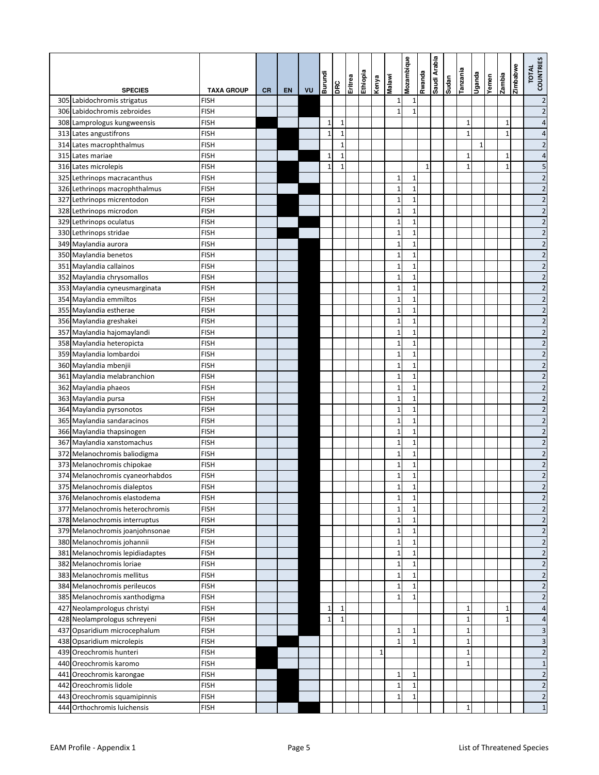|                                                               |                     |           |    |    | Burundi      |              | Eritrea | Ethiopia | Kenya        | <b>Malawi</b>                | Mozambique                  | Rwanda | Saudi Arabia | Sudan | Tanzania     | Uganda       | Yemen | Zambia       | Zimbabwe | <b>COUNTRIES</b><br><b>TOTAL</b>          |
|---------------------------------------------------------------|---------------------|-----------|----|----|--------------|--------------|---------|----------|--------------|------------------------------|-----------------------------|--------|--------------|-------|--------------|--------------|-------|--------------|----------|-------------------------------------------|
| <b>SPECIES</b>                                                | <b>TAXA GROUP</b>   | <b>CR</b> | EN | VU |              | DRC          |         |          |              |                              |                             |        |              |       |              |              |       |              |          |                                           |
| 305 Labidochromis strigatus                                   | <b>FISH</b>         |           |    |    |              |              |         |          |              | 1                            | 1                           |        |              |       |              |              |       |              |          | $\overline{\mathbf{c}}$                   |
| 306 Labidochromis zebroides                                   | <b>FISH</b>         |           |    |    |              |              |         |          |              | $\mathbf{1}$                 | $\mathbf{1}$                |        |              |       |              |              |       |              |          | $\overline{c}$                            |
| 308 Lamprologus kungweensis                                   | <b>FISH</b>         |           |    |    | $\mathbf 1$  | $\mathbf{1}$ |         |          |              |                              |                             |        |              |       | $\mathbf 1$  |              |       | 1            |          | $\overline{4}$                            |
| 313 Lates angustifrons                                        | <b>FISH</b>         |           |    |    | $\mathbf{1}$ | $\mathbf{1}$ |         |          |              |                              |                             |        |              |       | $\mathbf{1}$ |              |       | $\mathbf{1}$ |          | 4                                         |
| 314 Lates macrophthalmus                                      | <b>FISH</b>         |           |    |    |              | $\mathbf{1}$ |         |          |              |                              |                             |        |              |       |              | $\mathbf{1}$ |       |              |          | $\overline{2}$                            |
| 315 Lates mariae                                              | <b>FISH</b>         |           |    |    | 1            | $\mathbf{1}$ |         |          |              |                              |                             |        |              |       | $\mathbf{1}$ |              |       | 1            |          | $\overline{4}$                            |
| 316 Lates microlepis                                          | <b>FISH</b>         |           |    |    | $\mathbf{1}$ | 1            |         |          |              |                              |                             | 1      |              |       | $\mathbf 1$  |              |       | 1            |          | 5                                         |
| 325 Lethrinops macracanthus                                   | FISH                |           |    |    |              |              |         |          |              | 1                            | 1                           |        |              |       |              |              |       |              |          | $\overline{c}$                            |
| 326 Lethrinops macrophthalmus                                 | FISH                |           |    |    |              |              |         |          |              | $\mathbf{1}$                 | $\mathbf{1}$                |        |              |       |              |              |       |              |          | $\overline{c}$                            |
| 327 Lethrinops micrentodon                                    | <b>FISH</b>         |           |    |    |              |              |         |          |              | $\mathbf{1}$                 | $\mathbf 1$                 |        |              |       |              |              |       |              |          | $\overline{2}$                            |
| 328 Lethrinops microdon                                       | <b>FISH</b>         |           |    |    |              |              |         |          |              | $\mathbf{1}$                 | $\mathbf{1}$                |        |              |       |              |              |       |              |          | $\overline{c}$                            |
| 329 Lethrinops oculatus                                       | <b>FISH</b>         |           |    |    |              |              |         |          |              | $\mathbf{1}$                 | $\mathbf{1}$                |        |              |       |              |              |       |              |          | $\overline{c}$                            |
| 330 Lethrinops stridae                                        | <b>FISH</b>         |           |    |    |              |              |         |          |              | $\mathbf{1}$<br>$\mathbf{1}$ | $\mathbf{1}$                |        |              |       |              |              |       |              |          | $\overline{c}$                            |
| 349 Maylandia aurora                                          | <b>FISH</b>         |           |    |    |              |              |         |          |              |                              | $\mathbf 1$<br>$\mathbf{1}$ |        |              |       |              |              |       |              |          | $\overline{2}$                            |
| 350 Maylandia benetos<br>351 Maylandia callainos              | <b>FISH</b>         |           |    |    |              |              |         |          |              | $\mathbf{1}$<br>$\mathbf{1}$ |                             |        |              |       |              |              |       |              |          | $\overline{c}$                            |
|                                                               | <b>FISH</b>         |           |    |    |              |              |         |          |              |                              | 1                           |        |              |       |              |              |       |              |          | $\overline{c}$                            |
| 352 Maylandia chrysomallos                                    | FISH                |           |    |    |              |              |         |          |              | $\mathbf{1}$<br>$\mathbf{1}$ | $\mathbf{1}$                |        |              |       |              |              |       |              |          | $\overline{c}$                            |
| 353 Maylandia cyneusmarginata                                 | <b>FISH</b>         |           |    |    |              |              |         |          |              |                              | $\mathbf 1$                 |        |              |       |              |              |       |              |          | $\overline{2}$                            |
| 354 Maylandia emmiltos                                        | <b>FISH</b>         |           |    |    |              |              |         |          |              | $\mathbf{1}$<br>$\mathbf{1}$ | $\mathbf{1}$                |        |              |       |              |              |       |              |          | $\overline{c}$                            |
| 355 Maylandia estherae                                        | <b>FISH</b>         |           |    |    |              |              |         |          |              |                              | $\mathbf{1}$                |        |              |       |              |              |       |              |          | $\overline{c}$                            |
| 356 Maylandia greshakei                                       | <b>FISH</b>         |           |    |    |              |              |         |          |              | $\mathbf{1}$                 | 1                           |        |              |       |              |              |       |              |          | $\overline{\mathbf{c}}$                   |
| 357 Maylandia hajomaylandi                                    | <b>FISH</b>         |           |    |    |              |              |         |          |              | $\mathbf{1}$                 | $\mathbf{1}$                |        |              |       |              |              |       |              |          | $\overline{\mathbf{c}}$                   |
| 358 Maylandia heteropicta                                     | FISH                |           |    |    |              |              |         |          |              | $\mathbf{1}$                 | 1                           |        |              |       |              |              |       |              |          | $\overline{c}$                            |
| 359 Maylandia lombardoi                                       | FISH                |           |    |    |              |              |         |          |              | $\mathbf{1}$                 | 1                           |        |              |       |              |              |       |              |          | $\overline{\mathbf{c}}$                   |
| 360 Maylandia mbenjii                                         | <b>FISH</b>         |           |    |    |              |              |         |          |              | $\mathbf{1}$<br>$\mathbf{1}$ | 1                           |        |              |       |              |              |       |              |          | $\overline{c}$                            |
| 361 Maylandia melabranchion                                   | FISH                |           |    |    |              |              |         |          |              |                              | $\mathbf{1}$                |        |              |       |              |              |       |              |          | $\overline{c}$                            |
| 362 Maylandia phaeos                                          | FISH                |           |    |    |              |              |         |          |              | $\mathbf{1}$                 | 1                           |        |              |       |              |              |       |              |          | $\overline{c}$                            |
| 363 Maylandia pursa                                           | <b>FISH</b>         |           |    |    |              |              |         |          |              | $\mathbf{1}$                 | 1                           |        |              |       |              |              |       |              |          | $\overline{2}$                            |
| 364 Maylandia pyrsonotos                                      | <b>FISH</b>         |           |    |    |              |              |         |          |              | $\mathbf{1}$<br>$\mathbf{1}$ | 1                           |        |              |       |              |              |       |              |          | $\overline{c}$                            |
| 365 Maylandia sandaracinos                                    | <b>FISH</b>         |           |    |    |              |              |         |          |              |                              | $\mathbf{1}$                |        |              |       |              |              |       |              |          | $\overline{\mathbf{c}}$                   |
| 366 Maylandia thapsinogen                                     | FISH                |           |    |    |              |              |         |          |              | $\mathbf{1}$                 | 1                           |        |              |       |              |              |       |              |          | $\overline{c}$                            |
| 367 Maylandia xanstomachus                                    | <b>FISH</b>         |           |    |    |              |              |         |          |              | $\mathbf{1}$<br>$\mathbf{1}$ | 1                           |        |              |       |              |              |       |              |          | $\overline{\mathbf{c}}$<br>$\overline{c}$ |
| 372 Melanochromis baliodigma                                  | FISH<br><b>FISH</b> |           |    |    |              |              |         |          |              | $\mathbf{1}$                 | 1<br>$\mathbf{1}$           |        |              |       |              |              |       |              |          | $\overline{c}$                            |
| 373 Melanochromis chipokae<br>374 Melanochromis cyaneorhabdos | <b>FISH</b>         |           |    |    |              |              |         |          |              | $\mathbf{1}$                 | 1                           |        |              |       |              |              |       |              |          | $\overline{c}$                            |
| 375 Melanochromis dialeptos                                   | <b>FISH</b>         |           |    |    |              |              |         |          |              | $\mathbf{1}$                 | $\mathbf{1}$                |        |              |       |              |              |       |              |          | $\overline{2}$                            |
| 376 Melanochromis elastodema                                  | <b>FISH</b>         |           |    |    |              |              |         |          |              | $\mathbf 1$                  | 1                           |        |              |       |              |              |       |              |          | $\overline{\mathbf{c}}$                   |
| 377 Melanochromis heterochromis                               | <b>FISH</b>         |           |    |    |              |              |         |          |              | $\mathbf{1}$                 | $\mathbf{1}$                |        |              |       |              |              |       |              |          | $\overline{c}$                            |
| 378 Melanochromis interruptus                                 | <b>FISH</b>         |           |    |    |              |              |         |          |              | $\mathbf{1}$                 | $\mathbf 1$                 |        |              |       |              |              |       |              |          | $\overline{\mathbf{c}}$                   |
| 379 Melanochromis joanjohnsonae                               | <b>FISH</b>         |           |    |    |              |              |         |          |              | $\mathbf{1}$                 | $\mathbf 1$                 |        |              |       |              |              |       |              |          | $\overline{c}$                            |
| 380 Melanochromis johannii                                    | <b>FISH</b>         |           |    |    |              |              |         |          |              | $\mathbf{1}$                 | 1                           |        |              |       |              |              |       |              |          | $\overline{c}$                            |
| 381 Melanochromis lepidiadaptes                               | <b>FISH</b>         |           |    |    |              |              |         |          |              | $\mathbf 1$                  | $\mathbf{1}$                |        |              |       |              |              |       |              |          | $\overline{c}$                            |
| 382 Melanochromis loriae                                      | <b>FISH</b>         |           |    |    |              |              |         |          |              | $1\,$                        | $\mathbf 1$                 |        |              |       |              |              |       |              |          | $\overline{c}$                            |
| 383 Melanochromis mellitus                                    | <b>FISH</b>         |           |    |    |              |              |         |          |              | $\mathbf{1}$                 | $\mathbf{1}$                |        |              |       |              |              |       |              |          | $\overline{c}$                            |
| 384 Melanochromis perileucos                                  | FISH                |           |    |    |              |              |         |          |              | $\mathbf{1}$                 | $\mathbf{1}$                |        |              |       |              |              |       |              |          | $\overline{\mathbf{c}}$                   |
| 385 Melanochromis xanthodigma                                 | FISH                |           |    |    |              |              |         |          |              | $\mathbf{1}$                 | $\mathbf{1}$                |        |              |       |              |              |       |              |          | $\overline{2}$                            |
| 427 Neolamprologus christyi                                   | FISH                |           |    |    | $\mathbf 1$  | $\mathbf{1}$ |         |          |              |                              |                             |        |              |       | $\mathbf 1$  |              |       | 1            |          | 4                                         |
| 428 Neolamprologus schreyeni                                  | FISH                |           |    |    | $\mathbf 1$  | $\mathbf{1}$ |         |          |              |                              |                             |        |              |       | $\mathbf 1$  |              |       | 1            |          | 4                                         |
| 437 Opsaridium microcephalum                                  | FISH                |           |    |    |              |              |         |          |              | 1                            | 1                           |        |              |       | $\mathbf 1$  |              |       |              |          | 3                                         |
| 438 Opsaridium microlepis                                     | <b>FISH</b>         |           |    |    |              |              |         |          |              | $\mathbf{1}$                 | 1                           |        |              |       | $\mathbf 1$  |              |       |              |          | 3                                         |
| 439 Oreochromis hunteri                                       | FISH                |           |    |    |              |              |         |          | $\mathbf{1}$ |                              |                             |        |              |       | $\mathbf 1$  |              |       |              |          | $\overline{\mathbf{c}}$                   |
| 440 Oreochromis karomo                                        | FISH                |           |    |    |              |              |         |          |              |                              |                             |        |              |       | $\mathbf{1}$ |              |       |              |          | $\mathbf{1}$                              |
| 441 Oreochromis karongae                                      | FISH                |           |    |    |              |              |         |          |              | $\mathbf 1$                  | $\mathbf{1}$                |        |              |       |              |              |       |              |          | $\overline{\mathbf{c}}$                   |
| 442 Oreochromis lidole                                        | FISH                |           |    |    |              |              |         |          |              | $\mathbf{1}$                 | $\mathbf{1}$                |        |              |       |              |              |       |              |          | $\overline{c}$                            |
| 443 Oreochromis squamipinnis                                  | <b>FISH</b>         |           |    |    |              |              |         |          |              | $\mathbf 1$                  | $\mathbf{1}$                |        |              |       |              |              |       |              |          | $\overline{\mathbf{c}}$                   |
| 444 Orthochromis luichensis                                   | <b>FISH</b>         |           |    |    |              |              |         |          |              |                              |                             |        |              |       | $\mathbf 1$  |              |       |              |          | $\mathbf{1}$                              |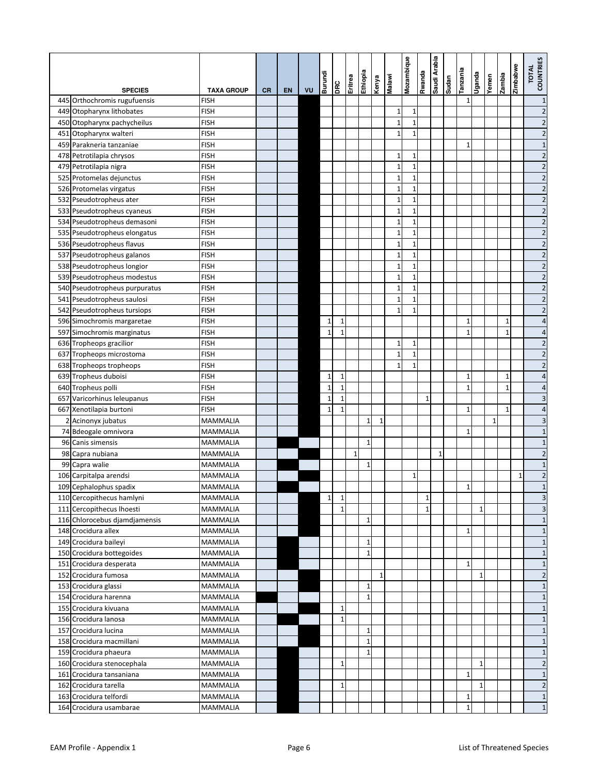|    |                               |                   |    |           |    | Burundi      |              | Eritrea      | eidoiya     | Kenya<br>Kenya | Malawi       | Mozambique   | Rwanda       | Saudi Arabia | Sudan | Tanzania     | epueĥ∩       | Yemen        | siquez       | Zimbabwe     | TOTAL<br>COUNTRIES      |
|----|-------------------------------|-------------------|----|-----------|----|--------------|--------------|--------------|-------------|----------------|--------------|--------------|--------------|--------------|-------|--------------|--------------|--------------|--------------|--------------|-------------------------|
|    | <b>SPECIES</b>                | <b>TAXA GROUP</b> | CR | <b>EN</b> | VU |              | <b>BE</b>    |              |             |                |              |              |              |              |       |              |              |              |              |              |                         |
|    | 445 Orthochromis rugufuensis  | <b>FISH</b>       |    |           |    |              |              |              |             |                |              |              |              |              |       | $\mathbf{1}$ |              |              |              |              | $\mathbf{1}$            |
|    | 449 Otopharynx lithobates     | <b>FISH</b>       |    |           |    |              |              |              |             |                | 1            | 1            |              |              |       |              |              |              |              |              | $\overline{c}$          |
|    | 450 Otopharynx pachycheilus   | <b>FISH</b>       |    |           |    |              |              |              |             |                | $\mathbf{1}$ | 1            |              |              |       |              |              |              |              |              | $\overline{\mathbf{c}}$ |
|    | 451 Otopharynx walteri        | <b>FISH</b>       |    |           |    |              |              |              |             |                | $\mathbf{1}$ | $\mathbf{1}$ |              |              |       |              |              |              |              |              | $\overline{c}$          |
|    | 459 Parakneria tanzaniae      | <b>FISH</b>       |    |           |    |              |              |              |             |                |              |              |              |              |       | $\mathbf{1}$ |              |              |              |              | $1\,$                   |
|    | 478 Petrotilapia chrysos      | <b>FISH</b>       |    |           |    |              |              |              |             |                | 1            | 1            |              |              |       |              |              |              |              |              | $\overline{c}$          |
|    | 479 Petrotilapia nigra        | <b>FISH</b>       |    |           |    |              |              |              |             |                | $\mathbf{1}$ | 1            |              |              |       |              |              |              |              |              | $\overline{2}$          |
|    | 525 Protomelas dejunctus      | <b>FISH</b>       |    |           |    |              |              |              |             |                | $\mathbf{1}$ | $\mathbf{1}$ |              |              |       |              |              |              |              |              | $\overline{c}$          |
|    | 526 Protomelas virgatus       | FISH              |    |           |    |              |              |              |             |                | $\mathbf{1}$ | $\mathbf{1}$ |              |              |       |              |              |              |              |              | $\overline{2}$          |
|    | 532 Pseudotropheus ater       | <b>FISH</b>       |    |           |    |              |              |              |             |                | $\mathbf{1}$ | $\mathbf{1}$ |              |              |       |              |              |              |              |              | $\overline{2}$          |
|    | 533 Pseudotropheus cyaneus    | <b>FISH</b>       |    |           |    |              |              |              |             |                | $\mathbf{1}$ | $\mathbf{1}$ |              |              |       |              |              |              |              |              | $\overline{c}$          |
|    | 534 Pseudotropheus demasoni   | <b>FISH</b>       |    |           |    |              |              |              |             |                | $\mathbf{1}$ | $\mathbf{1}$ |              |              |       |              |              |              |              |              | $\overline{2}$          |
|    | 535 Pseudotropheus elongatus  | <b>FISH</b>       |    |           |    |              |              |              |             |                | $\mathbf{1}$ | $\mathbf{1}$ |              |              |       |              |              |              |              |              | $\overline{c}$          |
|    | 536 Pseudotropheus flavus     | <b>FISH</b>       |    |           |    |              |              |              |             |                | $\mathbf{1}$ | $\mathbf{1}$ |              |              |       |              |              |              |              |              | $\overline{2}$          |
|    | 537 Pseudotropheus galanos    | <b>FISH</b>       |    |           |    |              |              |              |             |                | $\mathbf{1}$ | $\mathbf{1}$ |              |              |       |              |              |              |              |              | $\overline{c}$          |
|    | 538 Pseudotropheus longior    | <b>FISH</b>       |    |           |    |              |              |              |             |                | $\mathbf{1}$ | 1            |              |              |       |              |              |              |              |              | $\overline{2}$          |
|    | 539 Pseudotropheus modestus   | <b>FISH</b>       |    |           |    |              |              |              |             |                | $\mathbf{1}$ | $\mathbf{1}$ |              |              |       |              |              |              |              |              | $\overline{2}$          |
|    | 540 Pseudotropheus purpuratus | <b>FISH</b>       |    |           |    |              |              |              |             |                | $\mathbf{1}$ | $\mathbf{1}$ |              |              |       |              |              |              |              |              | $\overline{2}$          |
|    | 541 Pseudotropheus saulosi    | <b>FISH</b>       |    |           |    |              |              |              |             |                | $\mathbf{1}$ | $\mathbf{1}$ |              |              |       |              |              |              |              |              | $\overline{c}$          |
|    | 542 Pseudotropheus tursiops   | <b>FISH</b>       |    |           |    |              |              |              |             |                | $\mathbf{1}$ | 1            |              |              |       |              |              |              |              |              | $\overline{2}$          |
|    | 596 Simochromis margaretae    | <b>FISH</b>       |    |           |    | 1            | 1            |              |             |                |              |              |              |              |       | 1            |              |              | $\mathbf{1}$ |              | 4                       |
|    | 597 Simochromis marginatus    | <b>FISH</b>       |    |           |    | $\mathbf{1}$ | $\mathbf{1}$ |              |             |                |              |              |              |              |       | $\mathbf{1}$ |              |              | $\mathbf{1}$ |              | 4                       |
|    | 636 Tropheops gracilior       | <b>FISH</b>       |    |           |    |              |              |              |             |                | $\mathbf{1}$ | 1            |              |              |       |              |              |              |              |              | $\overline{c}$          |
|    | 637 Tropheops microstoma      | FISH              |    |           |    |              |              |              |             |                | $\mathbf{1}$ | 1            |              |              |       |              |              |              |              |              | $\overline{2}$          |
|    | 638 Tropheops tropheops       | <b>FISH</b>       |    |           |    |              |              |              |             |                | 1            | 1            |              |              |       |              |              |              |              |              | $\overline{\mathbf{c}}$ |
|    | 639 Tropheus duboisi          | <b>FISH</b>       |    |           |    | 1            | 1            |              |             |                |              |              |              |              |       | $\mathbf{1}$ |              |              | 1            |              | $\overline{4}$          |
|    | 640 Tropheus polli            | <b>FISH</b>       |    |           |    | $\mathbf{1}$ | $\mathbf{1}$ |              |             |                |              |              |              |              |       | $\mathbf{1}$ |              |              | $\mathbf{1}$ |              | $\overline{4}$          |
|    | 657 Varicorhinus leleupanus   | <b>FISH</b>       |    |           |    | $\mathbf{1}$ | $\mathbf{1}$ |              |             |                |              |              | 1            |              |       |              |              |              |              |              | 3                       |
|    | 667 Xenotilapia burtoni       | <b>FISH</b>       |    |           |    | $\mathbf{1}$ | 1            |              |             |                |              |              |              |              |       | 1            |              |              | $\mathbf{1}$ |              | $\overline{a}$          |
|    | 2 Acinonyx jubatus            | <b>MAMMALIA</b>   |    |           |    |              |              |              | 1           | $\mathbf{1}$   |              |              |              |              |       |              |              | $\mathbf{1}$ |              |              | 3                       |
|    | 74 Bdeogale omnivora          | <b>MAMMALIA</b>   |    |           |    |              |              |              |             |                |              |              |              |              |       | $\mathbf{1}$ |              |              |              |              | $1\,$                   |
|    | 96 Canis simensis             | <b>MAMMALIA</b>   |    |           |    |              |              |              | 1           |                |              |              |              |              |       |              |              |              |              |              | $1\,$                   |
| 98 | Capra nubiana                 | <b>MAMMALIA</b>   |    |           |    |              |              | $\mathbf{1}$ |             |                |              |              |              | $\mathbf{1}$ |       |              |              |              |              |              | $\overline{c}$          |
|    | 99 Capra walie                | MAMMALIA          |    |           |    |              |              |              | $1\,$       |                |              |              |              |              |       |              |              |              |              |              | $1\,$                   |
|    | 106 Carpitalpa arendsi        | MAMMALIA          |    |           |    |              |              |              |             |                |              | 1            |              |              |       |              |              |              |              | $\mathbf{1}$ | $\overline{2}$          |
|    | 109 Cephalophus spadix        | <b>MAMMALIA</b>   |    |           |    |              |              |              |             |                |              |              |              |              |       | $\mathbf{1}$ |              |              |              |              | $\mathbf{1}$            |
|    | 110 Cercopithecus hamlyni     | <b>MAMMALIA</b>   |    |           |    | $\mathbf 1$  | $\mathbf{1}$ |              |             |                |              |              | $\mathbf{1}$ |              |       |              |              |              |              |              | 3                       |
|    | 111 Cercopithecus Ihoesti     | MAMMALIA          |    |           |    |              | $\mathbf{1}$ |              |             |                |              |              | 1            |              |       |              | $\mathbf 1$  |              |              |              | 3                       |
|    | 116 Chlorocebus djamdjamensis | MAMMALIA          |    |           |    |              |              |              | $\mathbf 1$ |                |              |              |              |              |       |              |              |              |              |              | $\mathbf{1}$            |
|    | 148 Crocidura allex           | MAMMALIA          |    |           |    |              |              |              |             |                |              |              |              |              |       | $\mathbf{1}$ |              |              |              |              | $1\,$                   |
|    | 149 Crocidura baileyi         | <b>MAMMALIA</b>   |    |           |    |              |              |              | 1           |                |              |              |              |              |       |              |              |              |              |              | $\mathbf{1}$            |
|    | 150 Crocidura bottegoides     | MAMMALIA          |    |           |    |              |              |              | $1\,$       |                |              |              |              |              |       |              |              |              |              |              | $1\,$                   |
|    | 151 Crocidura desperata       | MAMMALIA          |    |           |    |              |              |              |             |                |              |              |              |              |       | $\mathbf{1}$ |              |              |              |              | $\mathbf{1}$            |
|    | 152 Crocidura fumosa          | MAMMALIA          |    |           |    |              |              |              |             | $\mathbf{1}$   |              |              |              |              |       |              | $\mathbf{1}$ |              |              |              | $\overline{c}$          |
|    | 153 Crocidura glassi          | MAMMALIA          |    |           |    |              |              |              | 1           |                |              |              |              |              |       |              |              |              |              |              | $1\,$                   |
|    | 154 Crocidura harenna         | <b>MAMMALIA</b>   |    |           |    |              |              |              | $1\,$       |                |              |              |              |              |       |              |              |              |              |              | $\mathbf{1}$            |
|    | 155 Crocidura kivuana         | <b>MAMMALIA</b>   |    |           |    |              | $\mathbf{1}$ |              |             |                |              |              |              |              |       |              |              |              |              |              | $\mathbf{1}$            |
|    | 156 Crocidura lanosa          | MAMMALIA          |    |           |    |              | $\mathbf{1}$ |              |             |                |              |              |              |              |       |              |              |              |              |              | $\mathbf{1}$            |
|    | 157 Crocidura lucina          | MAMMALIA          |    |           |    |              |              |              | 1           |                |              |              |              |              |       |              |              |              |              |              | $\mathbf{1}$            |
|    | 158 Crocidura macmillani      | MAMMALIA          |    |           |    |              |              |              | 1           |                |              |              |              |              |       |              |              |              |              |              | $1\,$                   |
|    | 159 Crocidura phaeura         | MAMMALIA          |    |           |    |              |              |              | 1           |                |              |              |              |              |       |              |              |              |              |              | $1\,$                   |
|    | 160 Crocidura stenocephala    | MAMMALIA          |    |           |    |              | $\mathbf{1}$ |              |             |                |              |              |              |              |       |              | $\mathbf{1}$ |              |              |              | $\overline{c}$          |
|    | 161 Crocidura tansaniana      | MAMMALIA          |    |           |    |              |              |              |             |                |              |              |              |              |       | $\mathbf{1}$ |              |              |              |              | $1\,$                   |
|    | 162 Crocidura tarella         | MAMMALIA          |    |           |    |              | $\mathbf{1}$ |              |             |                |              |              |              |              |       |              | $\mathbf{1}$ |              |              |              | $\overline{2}$          |
|    | 163 Crocidura telfordi        | MAMMALIA          |    |           |    |              |              |              |             |                |              |              |              |              |       | $\mathbf 1$  |              |              |              |              | $\mathbf{1}$            |
|    | 164 Crocidura usambarae       | MAMMALIA          |    |           |    |              |              |              |             |                |              |              |              |              |       | $\mathbf{1}$ |              |              |              |              | $\mathbf{1}$            |
|    |                               |                   |    |           |    |              |              |              |             |                |              |              |              |              |       |              |              |              |              |              |                         |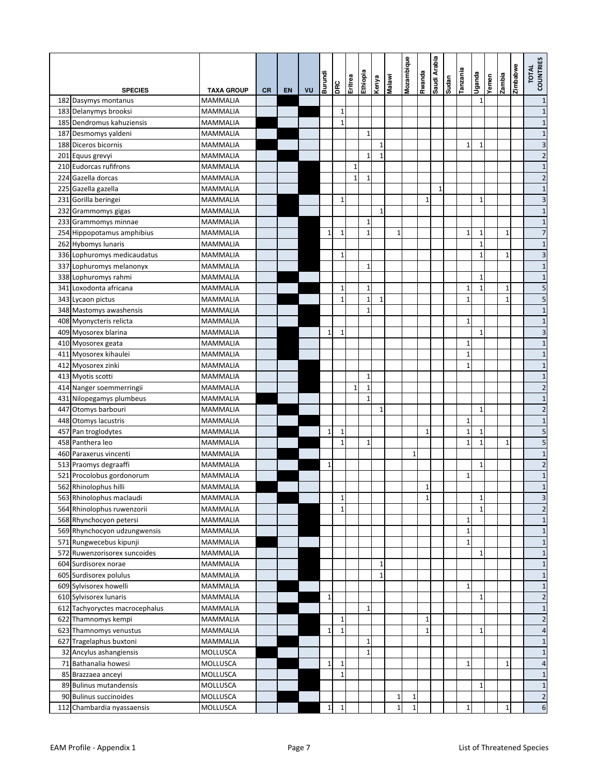|                                |                   |           |           |    | Burundi      | DRC                         | Eritrea      | Ethiopia                     | Kenya        | <b>Malawi</b> | Mozambique   | Rwanda       | Saudi Arabia | Sudan | Tanzania     | Uganda                       | Yemen | zambia       | Zimbabwe | TOTAL<br>COUNTRIES      |
|--------------------------------|-------------------|-----------|-----------|----|--------------|-----------------------------|--------------|------------------------------|--------------|---------------|--------------|--------------|--------------|-------|--------------|------------------------------|-------|--------------|----------|-------------------------|
| <b>SPECIES</b>                 | <b>TAXA GROUP</b> | <b>CR</b> | <b>EN</b> | VU |              |                             |              |                              |              |               |              |              |              |       |              |                              |       |              |          |                         |
| 182 Dasymys montanus           | MAMMALIA          |           |           |    |              |                             |              |                              |              |               |              |              |              |       |              | $\mathbf{1}$                 |       |              |          | $\mathbf{1}$            |
| 183 Delanymys brooksi          | <b>MAMMALIA</b>   |           |           |    |              | $\mathbf 1$<br>$\mathbf{1}$ |              |                              |              |               |              |              |              |       |              |                              |       |              |          | $\mathbf{1}$            |
| 185 Dendromus kahuziensis      | <b>MAMMALIA</b>   |           |           |    |              |                             |              |                              |              |               |              |              |              |       |              |                              |       |              |          | $\mathbf{1}$            |
| 187 Desmomys yaldeni           | <b>MAMMALIA</b>   |           |           |    |              |                             |              | $\mathbf{1}$                 | $\mathbf{1}$ |               |              |              |              |       |              |                              |       |              |          | $\mathbf{1}$            |
| 188 Diceros bicornis           | MAMMALIA          |           |           |    |              |                             |              |                              |              |               |              |              |              |       | $\mathbf{1}$ | $\mathbf{1}$                 |       |              |          | 3                       |
| 201 Equus grevyi               | <b>MAMMALIA</b>   |           |           |    |              |                             |              | $\mathbf{1}$                 | $\mathbf{1}$ |               |              |              |              |       |              |                              |       |              |          | $\overline{2}$          |
| 210 Eudorcas rufifrons         | <b>MAMMALIA</b>   |           |           |    |              |                             | $\mathbf{1}$ |                              |              |               |              |              |              |       |              |                              |       |              |          | $\mathbf{1}$            |
| 224 Gazella dorcas             | <b>MAMMALIA</b>   |           |           |    |              |                             | $\mathbf 1$  | $\mathbf{1}$                 |              |               |              |              |              |       |              |                              |       |              |          | $\overline{c}$          |
| 225 Gazella gazella            | MAMMALIA          |           |           |    |              |                             |              |                              |              |               |              |              | $\mathbf{1}$ |       |              |                              |       |              |          | $\mathbf{1}$            |
| 231 Gorilla beringei           | MAMMALIA          |           |           |    |              | $\mathbf{1}$                |              |                              |              |               |              | $\mathbf{1}$ |              |       |              | $\mathbf{1}$                 |       |              |          | 3                       |
| 232 Grammomys gigas            | <b>MAMMALIA</b>   |           |           |    |              |                             |              |                              | $\mathbf{1}$ |               |              |              |              |       |              |                              |       |              |          | $\mathbf{1}$            |
| 233 Grammomys minnae           | <b>MAMMALIA</b>   |           |           |    |              |                             |              | $\mathbf{1}$<br>$\mathbf{1}$ |              |               |              |              |              |       |              |                              |       |              |          | $\mathbf{1}$            |
| 254 Hippopotamus amphibius     | MAMMALIA          |           |           |    | $\mathbf{1}$ | $\mathbf{1}$                |              |                              |              | $\mathbf{1}$  |              |              |              |       | $\mathbf{1}$ | $\mathbf{1}$<br>$\mathbf{1}$ |       | $\mathbf{1}$ |          | $\overline{7}$          |
| 262 Hybomys lunaris            | <b>MAMMALIA</b>   |           |           |    |              |                             |              |                              |              |               |              |              |              |       |              |                              |       |              |          | $\mathbf{1}$            |
| 336 Lophuromys medicaudatus    | <b>MAMMALIA</b>   |           |           |    |              | $\mathbf{1}$                |              |                              |              |               |              |              |              |       |              | $\mathbf{1}$                 |       | 1            |          | 3                       |
| 337 Lophuromys melanonyx       | <b>MAMMALIA</b>   |           |           |    |              |                             |              | $\mathbf{1}$                 |              |               |              |              |              |       |              |                              |       |              |          | $\mathbf{1}$            |
| 338 Lophuromys rahmi           | <b>MAMMALIA</b>   |           |           |    |              |                             |              |                              |              |               |              |              |              |       |              | 1                            |       |              |          | $\mathbf{1}$            |
| 341 Loxodonta africana         | MAMMALIA          |           |           |    |              | 1                           |              | $\mathbf{1}$                 |              |               |              |              |              |       | $\mathbf 1$  | $\mathbf{1}$                 |       | 1            |          | 5                       |
| 343 Lycaon pictus              | <b>MAMMALIA</b>   |           |           |    |              | $\mathbf{1}$                |              | $\mathbf{1}$                 | $\mathbf{1}$ |               |              |              |              |       | $\mathbf{1}$ |                              |       | $\mathbf{1}$ |          | 5                       |
| 348 Mastomys awashensis        | <b>MAMMALIA</b>   |           |           |    |              |                             |              | $\mathbf{1}$                 |              |               |              |              |              |       |              |                              |       |              |          | $\mathbf{1}$            |
| 408 Myonycteris relicta        | <b>MAMMALIA</b>   |           |           |    |              |                             |              |                              |              |               |              |              |              |       | $\mathbf{1}$ |                              |       |              |          | $\mathbf{1}$            |
| 409 Myosorex blarina           | MAMMALIA          |           |           |    | $\mathbf{1}$ | $\mathbf{1}$                |              |                              |              |               |              |              |              |       |              | $\mathbf{1}$                 |       |              |          | 3                       |
| 410 Myosorex geata             | <b>MAMMALIA</b>   |           |           |    |              |                             |              |                              |              |               |              |              |              |       | $\mathbf 1$  |                              |       |              |          | $\mathbf{1}$            |
| 411 Myosorex kihaulei          | <b>MAMMALIA</b>   |           |           |    |              |                             |              |                              |              |               |              |              |              |       | $\mathbf{1}$ |                              |       |              |          | $\mathbf{1}$            |
| 412 Myosorex zinki             | <b>MAMMALIA</b>   |           |           |    |              |                             |              |                              |              |               |              |              |              |       | $\mathbf{1}$ |                              |       |              |          | $\mathbf{1}$            |
| 413 Myotis scotti              | MAMMALIA          |           |           |    |              |                             |              | $1\,$                        |              |               |              |              |              |       |              |                              |       |              |          | $\mathbf{1}$            |
| 414 Nanger soemmerringii       | MAMMALIA          |           |           |    |              |                             | $\mathbf{1}$ | $\mathbf{1}$                 |              |               |              |              |              |       |              |                              |       |              |          | $\overline{2}$          |
| 431 Nilopegamys plumbeus       | MAMMALIA          |           |           |    |              |                             |              | $\mathbf{1}$                 |              |               |              |              |              |       |              |                              |       |              |          | $\mathbf{1}$            |
| 447 Otomys barbouri            | <b>MAMMALIA</b>   |           |           |    |              |                             |              |                              | $\mathbf{1}$ |               |              |              |              |       |              | $\mathbf{1}$                 |       |              |          | $\overline{c}$          |
| 448 Otomys lacustris           | MAMMALIA          |           |           |    |              |                             |              |                              |              |               |              |              |              |       | $\mathbf 1$  |                              |       |              |          | $\mathbf{1}$            |
| 457 Pan troglodytes            | <b>MAMMALIA</b>   |           |           |    | $\mathbf{1}$ | $1\,$                       |              |                              |              |               |              | 1            |              |       | $\mathbf 1$  | $\mathbf{1}$                 |       |              |          | 5                       |
| 458 Panthera leo               | <b>MAMMALIA</b>   |           |           |    |              | $\mathbf{1}$                |              | $\mathbf{1}$                 |              |               |              |              |              |       | $\mathbf{1}$ | $\mathbf{1}$                 |       | $\mathbf{1}$ |          | 5                       |
| 460 Paraxerus vincenti         | MAMMALIA          |           |           |    |              |                             |              |                              |              |               | $\mathbf{1}$ |              |              |       |              |                              |       |              |          | $\mathbf{1}$            |
| 513 Praomys degraaffi          | MAMMALIA          |           |           |    | $\mathbf{1}$ |                             |              |                              |              |               |              |              |              |       |              | 1                            |       |              |          | $\overline{c}$          |
| 521 Procolobus gordonorum      | MAMMALIA          |           |           |    |              |                             |              |                              |              |               |              |              |              |       | $1\,$        |                              |       |              |          | $\mathbf{1}$            |
| 562 Rhinolophus hilli          | MAMMALIA          |           |           |    |              |                             |              |                              |              |               |              | 1            |              |       |              |                              |       |              |          | $\mathbf{1}$            |
| 563 Rhinolophus maclaudi       | <b>MAMMALIA</b>   |           |           |    |              | $\mathbf 1$                 |              |                              |              |               |              | $\mathbf 1$  |              |       |              | $\mathbf 1$                  |       |              |          | 3                       |
| 564 Rhinolophus ruwenzorii     | MAMMALIA          |           |           |    |              | $\overline{1}$              |              |                              |              |               |              |              |              |       |              | $\mathbf{1}$                 |       |              |          | $\overline{c}$          |
| 568 Rhynchocyon petersi        | MAMMALIA          |           |           |    |              |                             |              |                              |              |               |              |              |              |       | $\mathbf 1$  |                              |       |              |          | $\mathbf{1}$            |
| 569 Rhynchocyon udzungwensis   | MAMMALIA          |           |           |    |              |                             |              |                              |              |               |              |              |              |       | $\mathbf{1}$ |                              |       |              |          | $\mathbf{1}$            |
| 571 Rungwecebus kipunji        | MAMMALIA          |           |           |    |              |                             |              |                              |              |               |              |              |              |       | $\mathbf{1}$ |                              |       |              |          | $\mathbf{1}$            |
| 572 Ruwenzorisorex suncoides   | MAMMALIA          |           |           |    |              |                             |              |                              |              |               |              |              |              |       |              | 1                            |       |              |          | $\mathbf{1}$            |
| 604 Surdisorex norae           | MAMMALIA          |           |           |    |              |                             |              |                              | 1            |               |              |              |              |       |              |                              |       |              |          | $\mathbf{1}$            |
| 605 Surdisorex polulus         | MAMMALIA          |           |           |    |              |                             |              |                              | $\mathbf{1}$ |               |              |              |              |       |              |                              |       |              |          | $\mathbf{1}$            |
| 609 Sylvisorex howelli         | MAMMALIA          |           |           |    |              |                             |              |                              |              |               |              |              |              |       | $\mathbf{1}$ |                              |       |              |          | $\mathbf{1}$            |
| 610 Sylvisorex lunaris         | MAMMALIA          |           |           |    | $\mathbf 1$  |                             |              |                              |              |               |              |              |              |       |              | $\mathbf{1}$                 |       |              |          | $\overline{\mathbf{c}}$ |
| 612 Tachyoryctes macrocephalus | MAMMALIA          |           |           |    |              |                             |              | $\mathbf 1$                  |              |               |              |              |              |       |              |                              |       |              |          | $\mathbf{1}$            |
| 622 Thamnomys kempi            | MAMMALIA          |           |           |    |              | $1\,$                       |              |                              |              |               |              | 1            |              |       |              |                              |       |              |          | $\overline{\mathbf{c}}$ |
| 623 Thamnomys venustus         | MAMMALIA          |           |           |    | $\mathbf 1$  | $\mathbf 1$                 |              |                              |              |               |              | $\mathbf{1}$ |              |       |              | $1\,$                        |       |              |          | 4                       |
| 627 Tragelaphus buxtoni        | MAMMALIA          |           |           |    |              |                             |              | $\mathbf{1}$                 |              |               |              |              |              |       |              |                              |       |              |          | $\mathbf{1}$            |
| 32 Ancylus ashangiensis        | MOLLUSCA          |           |           |    |              |                             |              | $\mathbf{1}$                 |              |               |              |              |              |       |              |                              |       |              |          | $\mathbf{1}$            |
| 71 Bathanalia howesi           | MOLLUSCA          |           |           |    | $\mathbf{1}$ | $1\,$                       |              |                              |              |               |              |              |              |       | $\mathbf 1$  |                              |       | 1            |          | $\overline{4}$          |
| 85 Brazzaea anceyi             | MOLLUSCA          |           |           |    |              | $\mathbf{1}$                |              |                              |              |               |              |              |              |       |              |                              |       |              |          | $\mathbf{1}$            |
| 89 Bulinus mutandensis         | MOLLUSCA          |           |           |    |              |                             |              |                              |              |               |              |              |              |       |              | $\mathbf{1}$                 |       |              |          | $\mathbf{1}$            |
| 90 Bulinus succinoides         | MOLLUSCA          |           |           |    |              |                             |              |                              |              | $\mathbf 1$   | $\mathbf 1$  |              |              |       |              |                              |       |              |          | $\overline{\mathbf{c}}$ |
| 112 Chambardia nyassaensis     | MOLLUSCA          |           |           |    | $\mathbf 1$  | $\mathbf{1}$                |              |                              |              | $\mathbf 1$   | $\mathbf{1}$ |              |              |       | $\mathbf 1$  |                              |       | $\mathbf{1}$ |          | 6                       |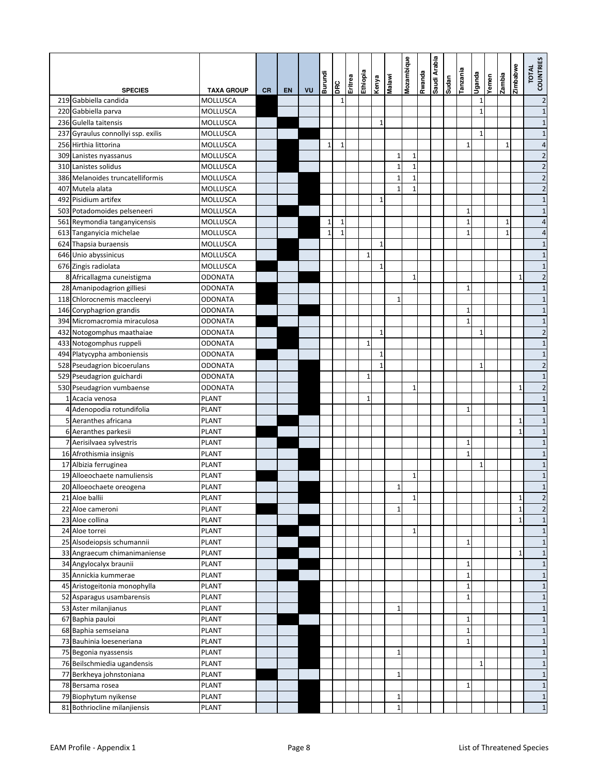| <b>SPECIES</b>                     | <b>TAXA GROUP</b> | <b>CR</b> | <b>EN</b> | VU | Burundi      | DRC          | Eritrea | Ethiopia     | Kenya        | Malawi       | Mozambique   | Rwanda | Saudi Arabia | uepns | <b>Eiuezue</b> | Uganda       | Yemen | zambia       | Zimbabwe     | <b>COUNTRIES</b><br><b>TOTAL</b> |
|------------------------------------|-------------------|-----------|-----------|----|--------------|--------------|---------|--------------|--------------|--------------|--------------|--------|--------------|-------|----------------|--------------|-------|--------------|--------------|----------------------------------|
| 219 Gabbiella candida              | MOLLUSCA          |           |           |    |              | $\mathbf{1}$ |         |              |              |              |              |        |              |       |                | 1            |       |              |              | $\overline{\mathbf{c}}$          |
| 220 Gabbiella parva                | MOLLUSCA          |           |           |    |              |              |         |              |              |              |              |        |              |       |                | $\mathbf{1}$ |       |              |              | $\mathbf{1}$                     |
| 236 Gulella taitensis              | <b>MOLLUSCA</b>   |           |           |    |              |              |         |              | $\mathbf{1}$ |              |              |        |              |       |                |              |       |              |              | $\mathbf{1}$                     |
| 237 Gyraulus connollyi ssp. exilis | MOLLUSCA          |           |           |    |              |              |         |              |              |              |              |        |              |       |                | $\mathbf{1}$ |       |              |              | $\mathbf{1}$                     |
| 256 Hirthia littorina              | <b>MOLLUSCA</b>   |           |           |    | 1            | $\mathbf{1}$ |         |              |              |              |              |        |              |       | $1\,$          |              |       | 1            |              | 4                                |
| 309 Lanistes nyassanus             | MOLLUSCA          |           |           |    |              |              |         |              |              | $\mathbf{1}$ | 1            |        |              |       |                |              |       |              |              | $\overline{c}$                   |
| 310 Lanistes solidus               | <b>MOLLUSCA</b>   |           |           |    |              |              |         |              |              | $\mathbf{1}$ | 1            |        |              |       |                |              |       |              |              | $\overline{\mathbf{c}}$          |
| 386 Melanoides truncatelliformis   | <b>MOLLUSCA</b>   |           |           |    |              |              |         |              |              | $\mathbf{1}$ | 1            |        |              |       |                |              |       |              |              | $\overline{c}$                   |
| 407 Mutela alata                   | MOLLUSCA          |           |           |    |              |              |         |              |              | $\mathbf{1}$ | $\mathbf{1}$ |        |              |       |                |              |       |              |              | $\overline{c}$                   |
| 492 Pisidium artifex               | MOLLUSCA          |           |           |    |              |              |         |              | $\mathbf{1}$ |              |              |        |              |       |                |              |       |              |              | $\mathbf{1}$                     |
| 503 Potadomoides pelseneeri        | MOLLUSCA          |           |           |    |              |              |         |              |              |              |              |        |              |       | $\mathbf 1$    |              |       |              |              | $\mathbf{1}$                     |
| 561 Reymondia tanganyicensis       | <b>MOLLUSCA</b>   |           |           |    | $\mathbf{1}$ | $\mathbf{1}$ |         |              |              |              |              |        |              |       | $\mathbf 1$    |              |       | $\mathbf{1}$ |              | $\overline{4}$                   |
| 613 Tanganyicia michelae           | <b>MOLLUSCA</b>   |           |           |    | $\mathbf{1}$ | $\mathbf{1}$ |         |              |              |              |              |        |              |       | $\mathbf{1}$   |              |       | $\mathbf{1}$ |              | 4                                |
| 624 Thapsia buraensis              | <b>MOLLUSCA</b>   |           |           |    |              |              |         |              | $\mathbf{1}$ |              |              |        |              |       |                |              |       |              |              | $\mathbf{1}$                     |
| 646 Unio abyssinicus               | MOLLUSCA          |           |           |    |              |              |         | $\mathbf{1}$ |              |              |              |        |              |       |                |              |       |              |              | $\mathbf{1}$                     |
|                                    |                   |           |           |    |              |              |         |              | $\mathbf{1}$ |              |              |        |              |       |                |              |       |              |              | $\mathbf{1}$                     |
| 676 Zingis radiolata               | <b>MOLLUSCA</b>   |           |           |    |              |              |         |              |              |              |              |        |              |       |                |              |       |              |              |                                  |
| 8 Africallagma cuneistigma         | <b>ODONATA</b>    |           |           |    |              |              |         |              |              |              | 1            |        |              |       |                |              |       |              | $\mathbf{1}$ | $\overline{\mathbf{c}}$          |
| 28 Amanipodagrion gilliesi         | <b>ODONATA</b>    |           |           |    |              |              |         |              |              |              |              |        |              |       | $1\,$          |              |       |              |              | $\mathbf{1}$                     |
| 118 Chlorocnemis maccleeryi        | <b>ODONATA</b>    |           |           |    |              |              |         |              |              | $\mathbf{1}$ |              |        |              |       |                |              |       |              |              | $\mathbf{1}$                     |
| 146 Coryphagrion grandis           | <b>ODONATA</b>    |           |           |    |              |              |         |              |              |              |              |        |              |       | $\mathbf{1}$   |              |       |              |              | $\mathbf{1}$                     |
| 394 Micromacromia miraculosa       | <b>ODONATA</b>    |           |           |    |              |              |         |              |              |              |              |        |              |       | $\mathbf{1}$   |              |       |              |              | $\mathbf{1}$                     |
| 432 Notogomphus maathaiae          | <b>ODONATA</b>    |           |           |    |              |              |         |              | $\mathbf{1}$ |              |              |        |              |       |                | $\mathbf{1}$ |       |              |              | $\overline{\mathbf{c}}$          |
| 433 Notogomphus ruppeli            | <b>ODONATA</b>    |           |           |    |              |              |         | $\mathbf{1}$ |              |              |              |        |              |       |                |              |       |              |              | $\mathbf{1}$                     |
| 494 Platycypha amboniensis         | <b>ODONATA</b>    |           |           |    |              |              |         |              | 1            |              |              |        |              |       |                |              |       |              |              | $\mathbf{1}$                     |
| 528 Pseudagrion bicoerulans        | <b>ODONATA</b>    |           |           |    |              |              |         |              | $\mathbf{1}$ |              |              |        |              |       |                | 1            |       |              |              | $\overline{c}$                   |
| 529 Pseudagrion guichardi          | <b>ODONATA</b>    |           |           |    |              |              |         | $\mathbf{1}$ |              |              |              |        |              |       |                |              |       |              |              | $\mathbf{1}$                     |
| 530 Pseudagrion vumbaense          | <b>ODONATA</b>    |           |           |    |              |              |         |              |              |              | $\mathbf{1}$ |        |              |       |                |              |       |              | 1            | $\overline{\mathbf{c}}$          |
| 1 Acacia venosa                    | <b>PLANT</b>      |           |           |    |              |              |         | $\mathbf{1}$ |              |              |              |        |              |       |                |              |       |              |              | $\mathbf{1}$                     |
| 4 Adenopodia rotundifolia          | <b>PLANT</b>      |           |           |    |              |              |         |              |              |              |              |        |              |       | $\mathbf{1}$   |              |       |              |              | $\mathbf{1}$                     |
| 5 Aeranthes africana               | <b>PLANT</b>      |           |           |    |              |              |         |              |              |              |              |        |              |       |                |              |       |              | 1            | $\mathbf{1}$                     |
| 6 Aeranthes parkesii               | <b>PLANT</b>      |           |           |    |              |              |         |              |              |              |              |        |              |       |                |              |       |              | $\mathbf{1}$ | $\mathbf{1}$                     |
| 7 Aerisilvaea sylvestris           | <b>PLANT</b>      |           |           |    |              |              |         |              |              |              |              |        |              |       | $\mathbf{1}$   |              |       |              |              | $\mathbf{1}$                     |
| 16 Afrothismia insignis            | PLANT             |           |           |    |              |              |         |              |              |              |              |        |              |       | $\mathbf{1}$   |              |       |              |              | $\mathbf{1}$                     |
| 17 Albizia ferruginea              | <b>PLANT</b>      |           |           |    |              |              |         |              |              |              |              |        |              |       |                | $\mathbf{1}$ |       |              |              | $\mathbf{1}$                     |
| 19 Alloeochaete namuliensis        | <b>PLANT</b>      |           |           |    |              |              |         |              |              |              | 1            |        |              |       |                |              |       |              |              | $\mathbf{1}$                     |
| 20 Alloeochaete oreogena           | <b>PLANT</b>      |           |           |    |              |              |         |              |              | $\mathbf{1}$ |              |        |              |       |                |              |       |              |              | $\mathbf{1}$                     |
| 21 Aloe ballii                     | <b>PLANT</b>      |           |           |    |              |              |         |              |              |              | $\mathbf 1$  |        |              |       |                |              |       |              | $\mathbf{1}$ | $\overline{\mathbf{c}}$          |
| 22 Aloe cameroni                   | <b>PLANT</b>      |           |           |    |              |              |         |              |              | $\mathbf 1$  |              |        |              |       |                |              |       |              | $\mathbf{1}$ | $\overline{c}$                   |
| 23 Aloe collina                    | <b>PLANT</b>      |           |           |    |              |              |         |              |              |              |              |        |              |       |                |              |       |              | $\mathbf{1}$ | $\mathbf{1}$                     |
| 24 Aloe torrei                     | <b>PLANT</b>      |           |           |    |              |              |         |              |              |              | 1            |        |              |       |                |              |       |              |              | $\mathbf{1}$                     |
| 25 Alsodeiopsis schumannii         | PLANT             |           |           |    |              |              |         |              |              |              |              |        |              |       | $1\,$          |              |       |              |              | $\mathbf{1}$                     |
| 33 Angraecum chimanimaniense       | PLANT             |           |           |    |              |              |         |              |              |              |              |        |              |       |                |              |       |              | 1            | $\mathbf{1}$                     |
| 34 Angylocalyx braunii             | <b>PLANT</b>      |           |           |    |              |              |         |              |              |              |              |        |              |       | $\mathbf 1$    |              |       |              |              | $\mathbf{1}$                     |
| 35 Annickia kummerae               | <b>PLANT</b>      |           |           |    |              |              |         |              |              |              |              |        |              |       | $\mathbf 1$    |              |       |              |              | $\mathbf{1}$                     |
| 45 Aristogeitonia monophylla       | <b>PLANT</b>      |           |           |    |              |              |         |              |              |              |              |        |              |       | $\mathbf 1$    |              |       |              |              | $\mathbf{1}$                     |
| 52 Asparagus usambarensis          | <b>PLANT</b>      |           |           |    |              |              |         |              |              |              |              |        |              |       | $\mathbf{1}$   |              |       |              |              | $\mathbf{1}$                     |
| 53 Aster milanjianus               | <b>PLANT</b>      |           |           |    |              |              |         |              |              | $\mathbf 1$  |              |        |              |       |                |              |       |              |              | $\mathbf{1}$                     |
| 67 Baphia pauloi                   | <b>PLANT</b>      |           |           |    |              |              |         |              |              |              |              |        |              |       | $\mathbf{1}$   |              |       |              |              | $\mathbf{1}$                     |
| 68 Baphia semseiana                | PLANT             |           |           |    |              |              |         |              |              |              |              |        |              |       | $\mathbf 1$    |              |       |              |              | $\mathbf{1}$                     |
| 73 Bauhinia loeseneriana           | PLANT             |           |           |    |              |              |         |              |              |              |              |        |              |       | $\mathbf{1}$   |              |       |              |              | $\mathbf{1}$                     |
| 75 Begonia nyassensis              | <b>PLANT</b>      |           |           |    |              |              |         |              |              | $\mathbf{1}$ |              |        |              |       |                |              |       |              |              | $\mathbf{1}$                     |
| 76 Beilschmiedia ugandensis        | <b>PLANT</b>      |           |           |    |              |              |         |              |              |              |              |        |              |       |                | $\mathbf{1}$ |       |              |              | $\mathbf{1}$                     |
| 77 Berkheya johnstoniana           | <b>PLANT</b>      |           |           |    |              |              |         |              |              | $\mathbf{1}$ |              |        |              |       |                |              |       |              |              | $\mathbf{1}$                     |
| 78 Bersama rosea                   | <b>PLANT</b>      |           |           |    |              |              |         |              |              |              |              |        |              |       | $\mathbf{1}$   |              |       |              |              | $\mathbf{1}$                     |
| 79 Biophytum nyikense              | <b>PLANT</b>      |           |           |    |              |              |         |              |              | $\mathbf{1}$ |              |        |              |       |                |              |       |              |              | $\mathbf{1}$                     |
| 81 Bothriocline milanjiensis       | <b>PLANT</b>      |           |           |    |              |              |         |              |              | $\mathbf{1}$ |              |        |              |       |                |              |       |              |              | $\mathbf{1}$                     |
|                                    |                   |           |           |    |              |              |         |              |              |              |              |        |              |       |                |              |       |              |              |                                  |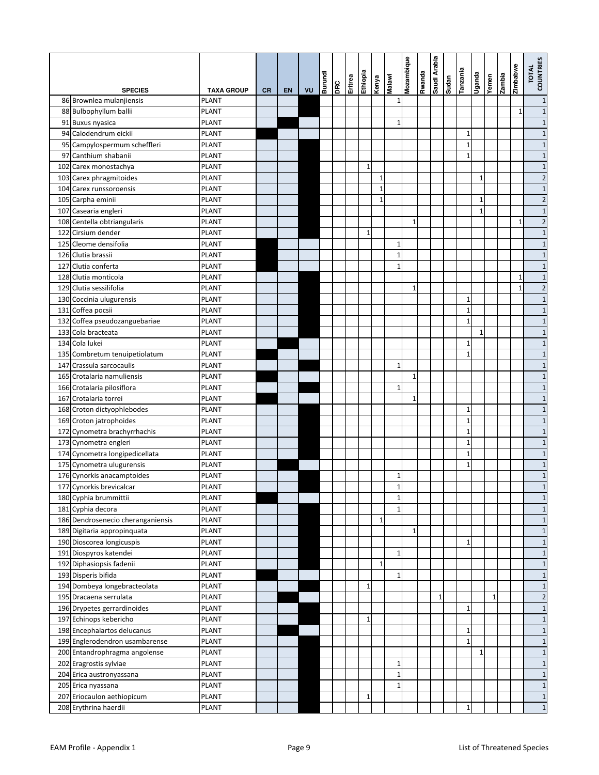|                                                           |                   |           |           |    | Burundi | DRC | Eritrea | Ethiopia     | Kenya        | Malawi       | Mozambique   | spuewy | Saudi Arabia | urpns | Tanzania              | Uganda       | Yemen        | zambia | Zimbabwe     | TOTAL<br>COUNTRIES           |
|-----------------------------------------------------------|-------------------|-----------|-----------|----|---------|-----|---------|--------------|--------------|--------------|--------------|--------|--------------|-------|-----------------------|--------------|--------------|--------|--------------|------------------------------|
| <b>SPECIES</b>                                            | <b>TAXA GROUP</b> | <b>CR</b> | <b>EN</b> | VU |         |     |         |              |              |              |              |        |              |       |                       |              |              |        |              |                              |
| 86 Brownlea mulanjiensis                                  | PLANT             |           |           |    |         |     |         |              |              | $\mathbf 1$  |              |        |              |       |                       |              |              |        |              | $\mathbf{1}$                 |
| 88 Bulbophyllum ballii                                    | PLANT             |           |           |    |         |     |         |              |              |              |              |        |              |       |                       |              |              |        | 1            | $\mathbf{1}$                 |
| 91 Buxus nyasica                                          | <b>PLANT</b>      |           |           |    |         |     |         |              |              | $\mathbf{1}$ |              |        |              |       |                       |              |              |        |              | $\mathbf{1}$                 |
| 94 Calodendrum eickii                                     | <b>PLANT</b>      |           |           |    |         |     |         |              |              |              |              |        |              |       | $\mathbf{1}$          |              |              |        |              | $\mathbf{1}$                 |
| 95 Campylospermum scheffleri                              | <b>PLANT</b>      |           |           |    |         |     |         |              |              |              |              |        |              |       | $\mathbf 1$           |              |              |        |              | $\mathbf{1}$                 |
| 97 Canthium shabanii                                      | PLANT             |           |           |    |         |     |         |              |              |              |              |        |              |       | $\mathbf 1$           |              |              |        |              | $\mathbf{1}$                 |
| 102 Carex monostachya                                     | <b>PLANT</b>      |           |           |    |         |     |         | $\mathbf{1}$ |              |              |              |        |              |       |                       |              |              |        |              | $\mathbf{1}$                 |
| 103 Carex phragmitoides                                   | <b>PLANT</b>      |           |           |    |         |     |         |              | $\mathbf{1}$ |              |              |        |              |       |                       | $\mathbf{1}$ |              |        |              | $\overline{c}$               |
| 104 Carex runssoroensis                                   | PLANT             |           |           |    |         |     |         |              | 1            |              |              |        |              |       |                       |              |              |        |              | $\mathbf{1}$                 |
| 105 Carpha eminii                                         | PLANT             |           |           |    |         |     |         |              | 1            |              |              |        |              |       |                       | $\mathbf{1}$ |              |        |              | $\overline{2}$               |
| 107 Casearia engleri                                      | PLANT             |           |           |    |         |     |         |              |              |              |              |        |              |       |                       | $\mathbf{1}$ |              |        |              | $\mathbf{1}$                 |
| 108 Centella obtriangularis                               | PLANT             |           |           |    |         |     |         | $\mathbf{1}$ |              |              | $\mathbf{1}$ |        |              |       |                       |              |              |        | 1            | $\overline{c}$               |
| 122 Cirsium dender<br>125 Cleome densifolia               | PLANT<br>PLANT    |           |           |    |         |     |         |              |              | $\mathbf{1}$ |              |        |              |       |                       |              |              |        |              | $\mathbf{1}$                 |
| 126 Clutia brassii                                        | PLANT             |           |           |    |         |     |         |              |              | $\mathbf{1}$ |              |        |              |       |                       |              |              |        |              | $\mathbf{1}$<br>$\mathbf{1}$ |
| 127 Clutia conferta                                       | <b>PLANT</b>      |           |           |    |         |     |         |              |              | $\mathbf{1}$ |              |        |              |       |                       |              |              |        |              | $\mathbf{1}$                 |
| 128 Clutia monticola                                      | PLANT             |           |           |    |         |     |         |              |              |              |              |        |              |       |                       |              |              |        | 1            | $\mathbf{1}$                 |
| 129 Clutia sessilifolia                                   | PLANT             |           |           |    |         |     |         |              |              |              | $\mathbf{1}$ |        |              |       |                       |              |              |        | $\mathbf{1}$ | $\overline{c}$               |
| 130 Coccinia ulugurensis                                  | PLANT             |           |           |    |         |     |         |              |              |              |              |        |              |       | $\mathbf{1}$          |              |              |        |              | $\mathbf{1}$                 |
| 131 Coffea pocsii                                         | PLANT             |           |           |    |         |     |         |              |              |              |              |        |              |       | $\mathbf{1}$          |              |              |        |              | $\mathbf{1}$                 |
| 132 Coffea pseudozanguebariae                             |                   |           |           |    |         |     |         |              |              |              |              |        |              |       | $\mathbf{1}$          |              |              |        |              |                              |
|                                                           | PLANT             |           |           |    |         |     |         |              |              |              |              |        |              |       |                       | $\mathbf{1}$ |              |        |              | $\mathbf{1}$                 |
| 133 Cola bracteata<br>134 Cola lukei                      | PLANT             |           |           |    |         |     |         |              |              |              |              |        |              |       |                       |              |              |        |              | $\mathbf{1}$                 |
|                                                           | PLANT<br>PLANT    |           |           |    |         |     |         |              |              |              |              |        |              |       | $1\,$<br>$\mathbf{1}$ |              |              |        |              | $\mathbf{1}$<br>$\mathbf{1}$ |
| 135 Combretum tenuipetiolatum<br>147 Crassula sarcocaulis | PLANT             |           |           |    |         |     |         |              |              | $\mathbf{1}$ |              |        |              |       |                       |              |              |        |              | $\mathbf{1}$                 |
| 165 Crotalaria namuliensis                                | PLANT             |           |           |    |         |     |         |              |              |              | $\mathbf{1}$ |        |              |       |                       |              |              |        |              | $\mathbf{1}$                 |
| 166 Crotalaria pilosiflora                                | PLANT             |           |           |    |         |     |         |              |              | $\mathbf{1}$ |              |        |              |       |                       |              |              |        |              | $\mathbf{1}$                 |
| 167 Crotalaria torrei                                     | <b>PLANT</b>      |           |           |    |         |     |         |              |              |              | $\mathbf{1}$ |        |              |       |                       |              |              |        |              | $\mathbf{1}$                 |
| 168 Croton dictyophlebodes                                | <b>PLANT</b>      |           |           |    |         |     |         |              |              |              |              |        |              |       | $\mathbf{1}$          |              |              |        |              | $\mathbf{1}$                 |
| 169 Croton jatrophoides                                   | <b>PLANT</b>      |           |           |    |         |     |         |              |              |              |              |        |              |       | $\mathbf 1$           |              |              |        |              | $\mathbf{1}$                 |
| 172 Cynometra brachyrrhachis                              | PLANT             |           |           |    |         |     |         |              |              |              |              |        |              |       | $\mathbf 1$           |              |              |        |              | $\mathbf{1}$                 |
| 173 Cynometra engleri                                     | <b>PLANT</b>      |           |           |    |         |     |         |              |              |              |              |        |              |       | $\mathbf{1}$          |              |              |        |              | $\mathbf{1}$                 |
| 174 Cynometra longipedicellata                            | PLANT             |           |           |    |         |     |         |              |              |              |              |        |              |       | $\mathbf{1}$          |              |              |        |              | $\mathbf{1}$                 |
| 175 Cynometra ulugurensis                                 | <b>PLANT</b>      |           |           |    |         |     |         |              |              |              |              |        |              |       | $\mathbf{1}$          |              |              |        |              | $\mathbf{1}$                 |
| 176 Cynorkis anacamptoides                                | PLANT             |           |           |    |         |     |         |              |              | 1            |              |        |              |       |                       |              |              |        |              | $\mathbf{1}$                 |
| 177 Cynorkis brevicalcar                                  | <b>PLANT</b>      |           |           |    |         |     |         |              |              | $\mathbf{1}$ |              |        |              |       |                       |              |              |        |              | $\mathbf{1}$                 |
| 180 Cyphia brummittii                                     | PLANT             |           |           |    |         |     |         |              |              | 1            |              |        |              |       |                       |              |              |        |              | $\mathbf{1}$                 |
| 181 Cyphia decora                                         | <b>PLANT</b>      |           |           |    |         |     |         |              |              | $\mathbf{1}$ |              |        |              |       |                       |              |              |        |              | $\mathbf{1}$                 |
| 186 Dendrosenecio cheranganiensis                         | <b>PLANT</b>      |           |           |    |         |     |         |              | $1\,$        |              |              |        |              |       |                       |              |              |        |              | $\mathbf{1}$                 |
| 189 Digitaria appropinquata                               | <b>PLANT</b>      |           |           |    |         |     |         |              |              |              | 1            |        |              |       |                       |              |              |        |              | $\mathbf{1}$                 |
| 190 Dioscorea longicuspis                                 | PLANT             |           |           |    |         |     |         |              |              |              |              |        |              |       | 1                     |              |              |        |              | $\mathbf{1}$                 |
| 191 Diospyros katendei                                    | <b>PLANT</b>      |           |           |    |         |     |         |              |              | $\mathbf{1}$ |              |        |              |       |                       |              |              |        |              | $\mathbf{1}$                 |
| 192 Diphasiopsis fadenii                                  | PLANT             |           |           |    |         |     |         |              | 1            |              |              |        |              |       |                       |              |              |        |              | $\mathbf{1}$                 |
| 193 Disperis bifida                                       | PLANT             |           |           |    |         |     |         |              |              | $\mathbf{1}$ |              |        |              |       |                       |              |              |        |              | $\mathbf{1}$                 |
| 194 Dombeya longebracteolata                              | <b>PLANT</b>      |           |           |    |         |     |         | $1\,$        |              |              |              |        |              |       |                       |              |              |        |              | $\mathbf{1}$                 |
| 195 Dracaena serrulata                                    | PLANT             |           |           |    |         |     |         |              |              |              |              |        | $\mathbf{1}$ |       |                       |              | $\mathbf{1}$ |        |              | $\overline{\mathbf{c}}$      |
| 196 Drypetes gerrardinoides                               | PLANT             |           |           |    |         |     |         |              |              |              |              |        |              |       | $\mathbf 1$           |              |              |        |              | $\mathbf{1}$                 |
| 197 Echinops kebericho                                    | <b>PLANT</b>      |           |           |    |         |     |         | $\mathbf{1}$ |              |              |              |        |              |       |                       |              |              |        |              | $\mathbf{1}$                 |
| 198 Encephalartos delucanus                               | <b>PLANT</b>      |           |           |    |         |     |         |              |              |              |              |        |              |       | $\mathbf 1$           |              |              |        |              | $\mathbf{1}$                 |
| 199 Englerodendron usambarense                            | PLANT             |           |           |    |         |     |         |              |              |              |              |        |              |       | $\mathbf 1$           |              |              |        |              | $\mathbf{1}$                 |
| 200 Entandrophragma angolense                             | PLANT             |           |           |    |         |     |         |              |              |              |              |        |              |       |                       | 1            |              |        |              | $\mathbf{1}$                 |
| 202 Eragrostis sylviae                                    | PLANT             |           |           |    |         |     |         |              |              | $\mathbf{1}$ |              |        |              |       |                       |              |              |        |              | $\mathbf{1}$                 |
| 204 Erica austronyassana                                  | <b>PLANT</b>      |           |           |    |         |     |         |              |              | $\mathbf{1}$ |              |        |              |       |                       |              |              |        |              | $\mathbf{1}$                 |
| 205 Erica nyassana                                        | <b>PLANT</b>      |           |           |    |         |     |         |              |              | $\mathbf 1$  |              |        |              |       |                       |              |              |        |              | $\mathbf{1}$                 |
| 207 Eriocaulon aethiopicum                                | <b>PLANT</b>      |           |           |    |         |     |         | $1\,$        |              |              |              |        |              |       |                       |              |              |        |              | $\mathbf{1}$                 |
| 208 Erythrina haerdii                                     | <b>PLANT</b>      |           |           |    |         |     |         |              |              |              |              |        |              |       | $1\,$                 |              |              |        |              | $\mathbf{1}$                 |
|                                                           |                   |           |           |    |         |     |         |              |              |              |              |        |              |       |                       |              |              |        |              |                              |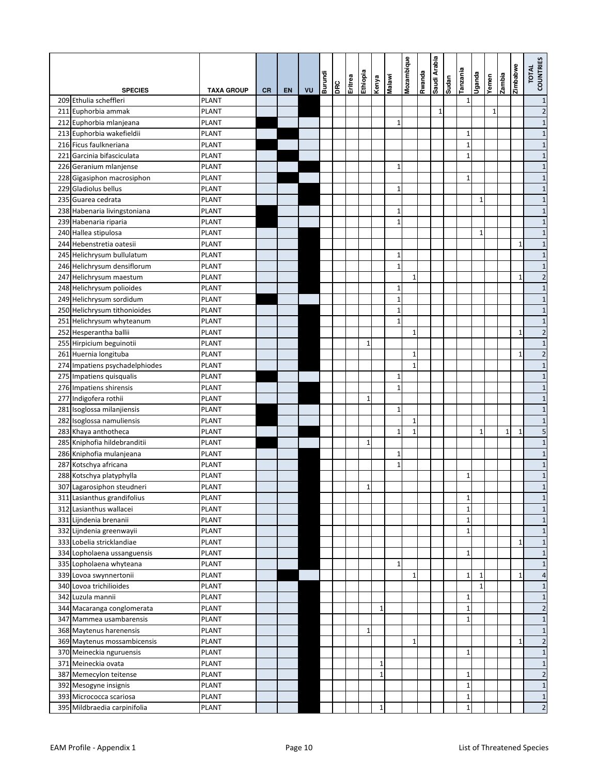|                                |                   |           |    |    | Burundi | <b>DRC</b> | Eritrea | eidoiya      | Kenya        | <b>Malawi</b> | Mozambique   | Rwanda | Saudi Arabia | Sudan | Tanzania     | epueĥ∩       | Yemen | zambia          | Zimbabwe     | TOTAL<br>COUNTRIES      |
|--------------------------------|-------------------|-----------|----|----|---------|------------|---------|--------------|--------------|---------------|--------------|--------|--------------|-------|--------------|--------------|-------|-----------------|--------------|-------------------------|
| <b>SPECIES</b>                 | <b>TAXA GROUP</b> | <b>CR</b> | EN | VU |         |            |         |              |              |               |              |        |              |       |              |              |       |                 |              |                         |
| 209 Ethulia scheffleri         | PLANT             |           |    |    |         |            |         |              |              |               |              |        |              |       | $\mathbf{1}$ |              |       |                 |              | $\mathbf{1}$            |
| 211 Euphorbia ammak            | PLANT             |           |    |    |         |            |         |              |              |               |              |        | $\mathbf{1}$ |       |              |              | 1     |                 |              | $\overline{\mathbf{c}}$ |
| 212 Euphorbia mlanjeana        | <b>PLANT</b>      |           |    |    |         |            |         |              |              | $\mathbf{1}$  |              |        |              |       |              |              |       |                 |              | $1\,$                   |
| 213 Euphorbia wakefieldii      | <b>PLANT</b>      |           |    |    |         |            |         |              |              |               |              |        |              |       | $\mathbf{1}$ |              |       |                 |              | $1\,$                   |
| 216 Ficus faulkneriana         | <b>PLANT</b>      |           |    |    |         |            |         |              |              |               |              |        |              |       | $\mathbf{1}$ |              |       |                 |              | $1\,$                   |
| 221 Garcinia bifasciculata     | <b>PLANT</b>      |           |    |    |         |            |         |              |              |               |              |        |              |       | $\mathbf{1}$ |              |       |                 |              | $1\,$                   |
| 226 Geranium mlanjense         | PLANT             |           |    |    |         |            |         |              |              | $\mathbf{1}$  |              |        |              |       |              |              |       |                 |              | $1\,$                   |
| 228 Gigasiphon macrosiphon     | PLANT             |           |    |    |         |            |         |              |              |               |              |        |              |       | 1            |              |       |                 |              | $1\,$                   |
| 229 Gladiolus bellus           | PLANT             |           |    |    |         |            |         |              |              | $1\,$         |              |        |              |       |              |              |       |                 |              | $\mathbf{1}$            |
| 235 Guarea cedrata             | <b>PLANT</b>      |           |    |    |         |            |         |              |              |               |              |        |              |       |              | $\mathbf{1}$ |       |                 |              | $\mathbf{1}$            |
| 238 Habenaria livingstoniana   | <b>PLANT</b>      |           |    |    |         |            |         |              |              | $\mathbf{1}$  |              |        |              |       |              |              |       |                 |              | $\mathbf{1}$            |
| 239 Habenaria riparia          | <b>PLANT</b>      |           |    |    |         |            |         |              |              | $\mathbf{1}$  |              |        |              |       |              |              |       |                 |              | $\mathbf{1}$            |
| 240 Hallea stipulosa           | <b>PLANT</b>      |           |    |    |         |            |         |              |              |               |              |        |              |       |              | $\mathbf{1}$ |       |                 |              | $1\,$                   |
| 244 Hebenstretia oatesii       | <b>PLANT</b>      |           |    |    |         |            |         |              |              |               |              |        |              |       |              |              |       |                 | $\mathbf{1}$ | $\mathbf{1}$            |
| 245 Helichrysum bullulatum     | PLANT             |           |    |    |         |            |         |              |              | $1\,$         |              |        |              |       |              |              |       |                 |              | $1\,$                   |
| 246 Helichrysum densiflorum    | PLANT             |           |    |    |         |            |         |              |              | $\mathbf{1}$  |              |        |              |       |              |              |       |                 |              | $\mathbf{1}$            |
| 247 Helichrysum maestum        | PLANT             |           |    |    |         |            |         |              |              |               | $\mathbf{1}$ |        |              |       |              |              |       |                 | 1            | $\overline{\mathbf{c}}$ |
| 248 Helichrysum polioides      | PLANT             |           |    |    |         |            |         |              |              | $\mathbf{1}$  |              |        |              |       |              |              |       |                 |              | $\mathbf{1}$            |
| 249 Helichrysum sordidum       | <b>PLANT</b>      |           |    |    |         |            |         |              |              | $\mathbf 1$   |              |        |              |       |              |              |       |                 |              | $\mathbf{1}$            |
| 250 Helichrysum tithonioides   | <b>PLANT</b>      |           |    |    |         |            |         |              |              | $\mathbf{1}$  |              |        |              |       |              |              |       |                 |              | $\mathbf{1}$            |
| 251 Helichrysum whyteanum      | <b>PLANT</b>      |           |    |    |         |            |         |              |              | $\mathbf{1}$  |              |        |              |       |              |              |       |                 |              | $1\,$                   |
| 252 Hesperantha ballii         | <b>PLANT</b>      |           |    |    |         |            |         |              |              |               | $\mathbf{1}$ |        |              |       |              |              |       |                 | $\mathbf{1}$ | $\overline{2}$          |
| 255 Hirpicium beguinotii       | <b>PLANT</b>      |           |    |    |         |            |         | 1            |              |               |              |        |              |       |              |              |       |                 |              | $1\,$                   |
| 261 Huernia longituba          | PLANT             |           |    |    |         |            |         |              |              |               | 1            |        |              |       |              |              |       |                 | 1            | $\overline{2}$          |
| 274 Impatiens psychadelphiodes | PLANT             |           |    |    |         |            |         |              |              |               | $\mathbf{1}$ |        |              |       |              |              |       |                 |              | $\mathbf{1}$            |
| 275 Impatiens quisqualis       | PLANT             |           |    |    |         |            |         |              |              | $\mathbf{1}$  |              |        |              |       |              |              |       |                 |              | $1\,$                   |
| 276 Impatiens shirensis        | PLANT             |           |    |    |         |            |         |              |              | $\mathbf{1}$  |              |        |              |       |              |              |       |                 |              | $\mathbf{1}$            |
| 277 Indigofera rothii          | <b>PLANT</b>      |           |    |    |         |            |         | 1            |              |               |              |        |              |       |              |              |       |                 |              | $1\,$                   |
| 281 Isoglossa milanjiensis     | <b>PLANT</b>      |           |    |    |         |            |         |              |              | $\mathbf{1}$  |              |        |              |       |              |              |       |                 |              | $1\,$                   |
| 282 Isoglossa namuliensis      | <b>PLANT</b>      |           |    |    |         |            |         |              |              |               | $\mathbf{1}$ |        |              |       |              |              |       |                 |              | $1\,$                   |
| 283 Khaya anthotheca           | <b>PLANT</b>      |           |    |    |         |            |         |              |              | $\mathbf{1}$  | $\mathbf{1}$ |        |              |       |              | 1            |       | $1\overline{ }$ | $\mathbf{1}$ | 5                       |
| 285 Kniphofia hildebranditii   | PLANT             |           |    |    |         |            |         | 1            |              |               |              |        |              |       |              |              |       |                 |              | $1\,$                   |
| 286 Kniphofia mulanjeana       | PLANT             |           |    |    |         |            |         |              |              | 1             |              |        |              |       |              |              |       |                 |              | $1\,$                   |
| 287 Kotschya africana          | PLANT             |           |    |    |         |            |         |              |              | $\mathbf{1}$  |              |        |              |       |              |              |       |                 |              | $\mathbf{1}$            |
| 288 Kotschya platyphylla       | <b>PLANT</b>      |           |    |    |         |            |         |              |              |               |              |        |              |       | $\mathbf{1}$ |              |       |                 |              | $\mathbf{1}$            |
| 307 Lagarosiphon steudneri     | <b>PLANT</b>      |           |    |    |         |            |         | $\mathbf{1}$ |              |               |              |        |              |       |              |              |       |                 |              | $\mathbf{1}$            |
| 311 Lasianthus grandifolius    | <b>PLANT</b>      |           |    |    |         |            |         |              |              |               |              |        |              |       | $\mathbf 1$  |              |       |                 |              | $\mathbf{1}$            |
| 312 Lasianthus wallacei        | <b>PLANT</b>      |           |    |    |         |            |         |              |              |               |              |        |              |       | $\mathbf 1$  |              |       |                 |              | $1\,$                   |
| 331 Lijndenia brenanii         | <b>PLANT</b>      |           |    |    |         |            |         |              |              |               |              |        |              |       | $\mathbf 1$  |              |       |                 |              | $\mathbf{1}$            |
| 332 Lijndenia greenwayii       | PLANT             |           |    |    |         |            |         |              |              |               |              |        |              |       | $\mathbf 1$  |              |       |                 |              | $\mathbf{1}$            |
| 333 Lobelia stricklandiae      | <b>PLANT</b>      |           |    |    |         |            |         |              |              |               |              |        |              |       |              |              |       |                 | $\mathbf{1}$ | $\mathbf{1}$            |
| 334 Lopholaena ussanguensis    | PLANT             |           |    |    |         |            |         |              |              |               |              |        |              |       | $1\,$        |              |       |                 |              | $1\,$                   |
| 335 Lopholaena whyteana        | <b>PLANT</b>      |           |    |    |         |            |         |              |              | $\mathbf{1}$  |              |        |              |       |              |              |       |                 |              | $\mathbf{1}$            |
| 339 Lovoa swynnertonii         | <b>PLANT</b>      |           |    |    |         |            |         |              |              |               | $\mathbf{1}$ |        |              |       | $\mathbf{1}$ | 1            |       |                 | 1            | $\overline{a}$          |
| 340 Lovoa trichilioides        | <b>PLANT</b>      |           |    |    |         |            |         |              |              |               |              |        |              |       |              | $\mathbf{1}$ |       |                 |              | $1\,$                   |
| 342 Luzula mannii              | <b>PLANT</b>      |           |    |    |         |            |         |              |              |               |              |        |              |       | 1            |              |       |                 |              | $\mathbf{1}$            |
| 344 Macaranga conglomerata     | <b>PLANT</b>      |           |    |    |         |            |         |              | 1            |               |              |        |              |       | $\mathbf{1}$ |              |       |                 |              | $\overline{2}$          |
| 347 Mammea usambarensis        | <b>PLANT</b>      |           |    |    |         |            |         |              |              |               |              |        |              |       | $\mathbf{1}$ |              |       |                 |              | $\mathbf{1}$            |
| 368 Maytenus harenensis        | <b>PLANT</b>      |           |    |    |         |            |         | 1            |              |               |              |        |              |       |              |              |       |                 |              | $\mathbf{1}$            |
| 369 Maytenus mossambicensis    | PLANT             |           |    |    |         |            |         |              |              |               | $\mathbf{1}$ |        |              |       |              |              |       |                 | $\mathbf{1}$ | $\overline{2}$          |
| 370 Meineckia nguruensis       | PLANT             |           |    |    |         |            |         |              |              |               |              |        |              |       | $1\,$        |              |       |                 |              | $1\,$                   |
| 371 Meineckia ovata            | PLANT             |           |    |    |         |            |         |              | 1            |               |              |        |              |       |              |              |       |                 |              | $1\,$                   |
| 387 Memecylon teitense         | <b>PLANT</b>      |           |    |    |         |            |         |              | $\mathbf{1}$ |               |              |        |              |       | $\mathbf{1}$ |              |       |                 |              | $\overline{2}$          |
| 392 Mesogyne insignis          | <b>PLANT</b>      |           |    |    |         |            |         |              |              |               |              |        |              |       | $\mathbf 1$  |              |       |                 |              | $1\,$                   |
| 393 Micrococca scariosa        | <b>PLANT</b>      |           |    |    |         |            |         |              |              |               |              |        |              |       | $\mathbf 1$  |              |       |                 |              | $\mathbf{1}$            |
| 395 Mildbraedia carpinifolia   | <b>PLANT</b>      |           |    |    |         |            |         |              | $\mathbf 1$  |               |              |        |              |       | $\mathbf 1$  |              |       |                 |              | $\overline{2}$          |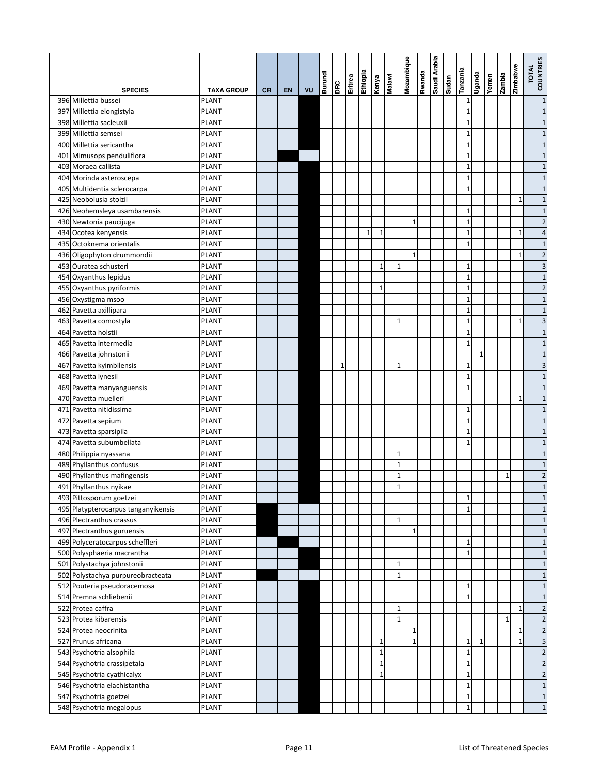|                                     |                   |           |           |    | Burundi | DRC | Eritrea | Ethiopia     | Kenya        | <b>Malawi</b> | Mozambique   | spuewy | Saudi Arabia | Sudan | Tanzania     | epueĥ∩       | Yemen | zambia       | Zimbabwe     | TOTAL<br>COUNTRIES |
|-------------------------------------|-------------------|-----------|-----------|----|---------|-----|---------|--------------|--------------|---------------|--------------|--------|--------------|-------|--------------|--------------|-------|--------------|--------------|--------------------|
| <b>SPECIES</b>                      | <b>TAXA GROUP</b> | <b>CR</b> | <b>EN</b> | VU |         |     |         |              |              |               |              |        |              |       |              |              |       |              |              |                    |
| 396 Millettia bussei                | PLANT             |           |           |    |         |     |         |              |              |               |              |        |              |       | $1\,$        |              |       |              |              | $\mathbf{1}$       |
| 397 Millettia elongistyla           | <b>PLANT</b>      |           |           |    |         |     |         |              |              |               |              |        |              |       | $1\,$        |              |       |              |              | $\mathbf{1}$       |
| 398 Millettia sacleuxii             | <b>PLANT</b>      |           |           |    |         |     |         |              |              |               |              |        |              |       | $\mathbf{1}$ |              |       |              |              | $\mathbf{1}$       |
| 399 Millettia semsei                | <b>PLANT</b>      |           |           |    |         |     |         |              |              |               |              |        |              |       | $1\,$        |              |       |              |              | $\mathbf{1}$       |
| 400 Millettia sericantha            | <b>PLANT</b>      |           |           |    |         |     |         |              |              |               |              |        |              |       | $\mathbf{1}$ |              |       |              |              | $1\,$              |
| 401 Mimusops penduliflora           | <b>PLANT</b>      |           |           |    |         |     |         |              |              |               |              |        |              |       | $\mathbf{1}$ |              |       |              |              | $\mathbf{1}$       |
| 403 Moraea callista                 | PLANT             |           |           |    |         |     |         |              |              |               |              |        |              |       | $\mathbf{1}$ |              |       |              |              | $\mathbf{1}$       |
| 404 Morinda asteroscepa             | PLANT             |           |           |    |         |     |         |              |              |               |              |        |              |       | $\mathbf{1}$ |              |       |              |              | $1\,$              |
| 405 Multidentia sclerocarpa         | PLANT             |           |           |    |         |     |         |              |              |               |              |        |              |       | $\mathbf{1}$ |              |       |              |              | $\mathbf{1}$       |
| 425 Neobolusia stolzii              | PLANT             |           |           |    |         |     |         |              |              |               |              |        |              |       |              |              |       |              | $\mathbf{1}$ | $1\,$              |
| 426 Neohemsleya usambarensis        | <b>PLANT</b>      |           |           |    |         |     |         |              |              |               |              |        |              |       | $\mathbf{1}$ |              |       |              |              | $\mathbf{1}$       |
| 430 Newtonia paucijuga              | <b>PLANT</b>      |           |           |    |         |     |         |              |              |               | 1            |        |              |       | $\mathbf{1}$ |              |       |              |              | $\overline{2}$     |
| 434 Ocotea kenyensis                | <b>PLANT</b>      |           |           |    |         |     |         | $\mathbf{1}$ | 1            |               |              |        |              |       | $\mathbf{1}$ |              |       |              | $\mathbf{1}$ | $\overline{4}$     |
| 435 Octoknema orientalis            | <b>PLANT</b>      |           |           |    |         |     |         |              |              |               |              |        |              |       | $\mathbf{1}$ |              |       |              |              | $1\,$              |
| 436 Oligophyton drummondii          | <b>PLANT</b>      |           |           |    |         |     |         |              |              |               | $\mathbf{1}$ |        |              |       |              |              |       |              | $\mathbf{1}$ | $\overline{c}$     |
| 453 Ouratea schusteri               | PLANT             |           |           |    |         |     |         |              | 1            | $\mathbf{1}$  |              |        |              |       | 1            |              |       |              |              | 3                  |
| 454 Oxyanthus lepidus               | PLANT             |           |           |    |         |     |         |              |              |               |              |        |              |       | $\mathbf{1}$ |              |       |              |              | $\mathbf{1}$       |
| 455 Oxyanthus pyriformis            | PLANT             |           |           |    |         |     |         |              | 1            |               |              |        |              |       | $\mathbf{1}$ |              |       |              |              | $\overline{2}$     |
| 456 Oxystigma msoo                  | PLANT             |           |           |    |         |     |         |              |              |               |              |        |              |       | $\mathbf{1}$ |              |       |              |              | $\mathbf{1}$       |
| 462 Pavetta axillipara              | <b>PLANT</b>      |           |           |    |         |     |         |              |              |               |              |        |              |       | $\mathbf{1}$ |              |       |              |              | $1\,$              |
| 463 Pavetta comostyla               | <b>PLANT</b>      |           |           |    |         |     |         |              |              | 1             |              |        |              |       | $\mathbf{1}$ |              |       |              | $\mathbf{1}$ | 3                  |
| 464 Pavetta holstii                 | <b>PLANT</b>      |           |           |    |         |     |         |              |              |               |              |        |              |       | $\mathbf 1$  |              |       |              |              | $1\,$              |
| 465 Pavetta intermedia              | <b>PLANT</b>      |           |           |    |         |     |         |              |              |               |              |        |              |       | $\mathbf{1}$ |              |       |              |              | $\mathbf{1}$       |
| 466 Pavetta johnstonii              | <b>PLANT</b>      |           |           |    |         |     |         |              |              |               |              |        |              |       |              | $\mathbf{1}$ |       |              |              | $1\,$              |
| 467 Pavetta kyimbilensis            | <b>PLANT</b>      |           |           |    |         | 1   |         |              |              | $\mathbf{1}$  |              |        |              |       | $1\,$        |              |       |              |              | 3                  |
| 468 Pavetta lynesii                 | PLANT             |           |           |    |         |     |         |              |              |               |              |        |              |       | $\mathbf 1$  |              |       |              |              | $\mathbf{1}$       |
| 469 Pavetta manyanguensis           | <b>PLANT</b>      |           |           |    |         |     |         |              |              |               |              |        |              |       | $\mathbf{1}$ |              |       |              |              | $\mathbf{1}$       |
| 470 Pavetta muelleri                | <b>PLANT</b>      |           |           |    |         |     |         |              |              |               |              |        |              |       |              |              |       |              | $\mathbf{1}$ | $1\,$              |
| 471 Pavetta nitidissima             | <b>PLANT</b>      |           |           |    |         |     |         |              |              |               |              |        |              |       | $1\,$        |              |       |              |              | $1\,$              |
| 472 Pavetta sepium                  | <b>PLANT</b>      |           |           |    |         |     |         |              |              |               |              |        |              |       | $\mathbf{1}$ |              |       |              |              | $1\,$              |
| 473 Pavetta sparsipila              | <b>PLANT</b>      |           |           |    |         |     |         |              |              |               |              |        |              |       | $\mathbf{1}$ |              |       |              |              | $\mathbf{1}$       |
| 474 Pavetta subumbellata            | PLANT             |           |           |    |         |     |         |              |              |               |              |        |              |       | $\mathbf{1}$ |              |       |              |              | $1\,$              |
| 480 Philippia nyassana              | PLANT             |           |           |    |         |     |         |              |              | $1\,$         |              |        |              |       |              |              |       |              |              | $1\,$              |
| 489 Phyllanthus confusus            | PLANT             |           |           |    |         |     |         |              |              | $\mathbf{1}$  |              |        |              |       |              |              |       |              |              | $\mathbf{1}$       |
| 490 Phyllanthus mafingensis         | PLANT             |           |           |    |         |     |         |              |              | $1\,$         |              |        |              |       |              |              |       | 1            |              | $\overline{2}$     |
| 491 Phyllanthus nyikae              | <b>PLANT</b>      |           |           |    |         |     |         |              |              | $\mathbf{1}$  |              |        |              |       |              |              |       |              |              | $\mathbf{1}$       |
| 493 Pittosporum goetzei             | <b>PLANT</b>      |           |           |    |         |     |         |              |              |               |              |        |              |       | 1            |              |       |              |              | $1\,$              |
| 495 Platypterocarpus tanganyikensis | <b>PLANT</b>      |           |           |    |         |     |         |              |              |               |              |        |              |       | $\mathbf{1}$ |              |       |              |              | $1\,$              |
| 496 Plectranthus crassus            | <b>PLANT</b>      |           |           |    |         |     |         |              |              | $1\,$         |              |        |              |       |              |              |       |              |              | $1\,$              |
| 497 Plectranthus guruensis          | <b>PLANT</b>      |           |           |    |         |     |         |              |              |               | $\mathbf{1}$ |        |              |       |              |              |       |              |              | $1\,$              |
| 499 Polyceratocarpus scheffleri     | PLANT             |           |           |    |         |     |         |              |              |               |              |        |              |       | 1            |              |       |              |              | $1\,$              |
| 500 Polysphaeria macrantha          | PLANT             |           |           |    |         |     |         |              |              |               |              |        |              |       | $\mathbf 1$  |              |       |              |              | $1\,$              |
| 501 Polystachya johnstonii          | PLANT             |           |           |    |         |     |         |              |              | 1             |              |        |              |       |              |              |       |              |              | $1\,$              |
| 502 Polystachya purpureobracteata   | PLANT             |           |           |    |         |     |         |              |              | $\mathbf{1}$  |              |        |              |       |              |              |       |              |              | $1\,$              |
| 512 Pouteria pseudoracemosa         | PLANT             |           |           |    |         |     |         |              |              |               |              |        |              |       | $\mathbf{1}$ |              |       |              |              | $1\,$              |
| 514 Premna schliebenii              | <b>PLANT</b>      |           |           |    |         |     |         |              |              |               |              |        |              |       | $\mathbf{1}$ |              |       |              |              | $\mathbf{1}$       |
| 522 Protea caffra                   | <b>PLANT</b>      |           |           |    |         |     |         |              |              | $\mathbf 1$   |              |        |              |       |              |              |       |              | $\mathbf{1}$ | $\overline{2}$     |
| 523 Protea kibarensis               | <b>PLANT</b>      |           |           |    |         |     |         |              |              | $1\,$         |              |        |              |       |              |              |       | $\mathbf{1}$ |              | $\overline{2}$     |
| 524 Protea neocrinita               | <b>PLANT</b>      |           |           |    |         |     |         |              |              |               | $\mathbf{1}$ |        |              |       |              |              |       |              | $\mathbf{1}$ | $\overline{2}$     |
| 527 Prunus africana                 | <b>PLANT</b>      |           |           |    |         |     |         |              | 1            |               | $\mathbf{1}$ |        |              |       | $1\,$        | 1            |       |              | 1            | 5                  |
| 543 Psychotria alsophila            | <b>PLANT</b>      |           |           |    |         |     |         |              | 1            |               |              |        |              |       | $\mathbf 1$  |              |       |              |              | $\overline{2}$     |
| 544 Psychotria crassipetala         | <b>PLANT</b>      |           |           |    |         |     |         |              | 1            |               |              |        |              |       | $\mathbf 1$  |              |       |              |              | $\overline{2}$     |
| 545 Psychotria cyathicalyx          | <b>PLANT</b>      |           |           |    |         |     |         |              | $\mathbf{1}$ |               |              |        |              |       | $\mathbf 1$  |              |       |              |              | $\overline{2}$     |
| 546 Psychotria elachistantha        | <b>PLANT</b>      |           |           |    |         |     |         |              |              |               |              |        |              |       | $\mathbf 1$  |              |       |              |              | $\mathbf{1}$       |
| 547 Psychotria goetzei              | <b>PLANT</b>      |           |           |    |         |     |         |              |              |               |              |        |              |       | $\mathbf 1$  |              |       |              |              | $1\,$              |
| 548 Psychotria megalopus            | <b>PLANT</b>      |           |           |    |         |     |         |              |              |               |              |        |              |       | $\mathbf 1$  |              |       |              |              | $\mathbf{1}$       |
|                                     |                   |           |           |    |         |     |         |              |              |               |              |        |              |       |              |              |       |              |              |                    |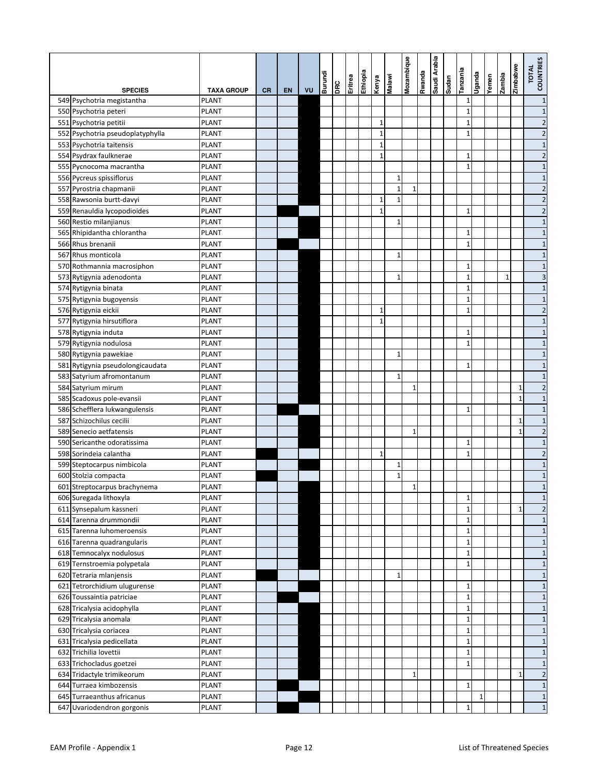|                                  |                   |           |    |    | Burundi |     | Eritrea | Ethiopia | Kenya        | Malawi       | Mozambique   | Rwanda | Saudi Arabia | uepns | Tanzania     | Uganda       | Yemen | zambia       | Zimbabwe     | TOTAL<br>COUNTRIES      |
|----------------------------------|-------------------|-----------|----|----|---------|-----|---------|----------|--------------|--------------|--------------|--------|--------------|-------|--------------|--------------|-------|--------------|--------------|-------------------------|
| <b>SPECIES</b>                   | <b>TAXA GROUP</b> | <b>CR</b> | EN | VU |         | DRC |         |          |              |              |              |        |              |       |              |              |       |              |              |                         |
| 549 Psychotria megistantha       | <b>PLANT</b>      |           |    |    |         |     |         |          |              |              |              |        |              |       | $\mathbf{1}$ |              |       |              |              | $\mathbf{1}$            |
| 550 Psychotria peteri            | PLANT             |           |    |    |         |     |         |          |              |              |              |        |              |       | $\mathbf{1}$ |              |       |              |              | $\mathbf{1}$            |
| 551 Psychotria petitii           | <b>PLANT</b>      |           |    |    |         |     |         |          | $\mathbf{1}$ |              |              |        |              |       | $\mathbf{1}$ |              |       |              |              | $\overline{c}$          |
| 552 Psychotria pseudoplatyphylla | PLANT             |           |    |    |         |     |         |          | $\mathbf{1}$ |              |              |        |              |       | $\mathbf{1}$ |              |       |              |              | $\overline{c}$          |
| 553 Psychotria taitensis         | <b>PLANT</b>      |           |    |    |         |     |         |          | $\mathbf{1}$ |              |              |        |              |       |              |              |       |              |              | $\mathbf{1}$            |
| 554 Psydrax faulknerae           | PLANT             |           |    |    |         |     |         |          | $\mathbf{1}$ |              |              |        |              |       | 1            |              |       |              |              | $\overline{c}$          |
| 555 Pycnocoma macrantha          | <b>PLANT</b>      |           |    |    |         |     |         |          |              |              |              |        |              |       | $\mathbf{1}$ |              |       |              |              | $\mathbf{1}$            |
| 556 Pycreus spissiflorus         | <b>PLANT</b>      |           |    |    |         |     |         |          |              | $\mathbf{1}$ |              |        |              |       |              |              |       |              |              | $\mathbf{1}$            |
| 557 Pyrostria chapmanii          | PLANT             |           |    |    |         |     |         |          |              | $\mathbf{1}$ | $\mathbf{1}$ |        |              |       |              |              |       |              |              | $\overline{c}$          |
| 558 Rawsonia burtt-davyi         | <b>PLANT</b>      |           |    |    |         |     |         |          | 1            | $\mathbf 1$  |              |        |              |       |              |              |       |              |              | $\overline{2}$          |
| 559 Renauldia lycopodioides      | PLANT             |           |    |    |         |     |         |          | $\mathbf{1}$ |              |              |        |              |       | $\mathbf 1$  |              |       |              |              | $\overline{c}$          |
| 560 Restio milanjianus           | PLANT             |           |    |    |         |     |         |          |              | $\mathbf{1}$ |              |        |              |       |              |              |       |              |              | $\mathbf{1}$            |
| 565 Rhipidantha chlorantha       | PLANT             |           |    |    |         |     |         |          |              |              |              |        |              |       | $\mathbf{1}$ |              |       |              |              | $\mathbf{1}$            |
| 566 Rhus brenanii                | PLANT             |           |    |    |         |     |         |          |              |              |              |        |              |       | $\mathbf 1$  |              |       |              |              | $\mathbf{1}$            |
| 567 Rhus monticola               | PLANT             |           |    |    |         |     |         |          |              | $\mathbf{1}$ |              |        |              |       |              |              |       |              |              | $\mathbf{1}$            |
| 570 Rothmannia macrosiphon       | PLANT             |           |    |    |         |     |         |          |              |              |              |        |              |       | $\mathbf{1}$ |              |       |              |              | $\mathbf{1}$            |
| 573 Rytigynia adenodonta         | PLANT             |           |    |    |         |     |         |          |              | 1            |              |        |              |       | $\mathbf 1$  |              |       | $\mathbf{1}$ |              | 3                       |
| 574 Rytigynia binata             | <b>PLANT</b>      |           |    |    |         |     |         |          |              |              |              |        |              |       | $\mathbf{1}$ |              |       |              |              | $\mathbf{1}$            |
| 575 Rytigynia bugoyensis         | <b>PLANT</b>      |           |    |    |         |     |         |          |              |              |              |        |              |       | $\mathbf{1}$ |              |       |              |              | $\mathbf{1}$            |
| 576 Rytigynia eickii             | <b>PLANT</b>      |           |    |    |         |     |         |          | $\mathbf{1}$ |              |              |        |              |       | $\mathbf{1}$ |              |       |              |              | $\overline{c}$          |
| 577 Rytigynia hirsutiflora       | PLANT             |           |    |    |         |     |         |          | $\mathbf{1}$ |              |              |        |              |       |              |              |       |              |              | $\mathbf{1}$            |
| 578 Rytigynia induta             | <b>PLANT</b>      |           |    |    |         |     |         |          |              |              |              |        |              |       | $\mathbf{1}$ |              |       |              |              | $\mathbf{1}$            |
| 579 Rytigynia nodulosa           | PLANT             |           |    |    |         |     |         |          |              |              |              |        |              |       | $\mathbf{1}$ |              |       |              |              | $\mathbf{1}$            |
| 580 Rytigynia pawekiae           | <b>PLANT</b>      |           |    |    |         |     |         |          |              | $\mathbf{1}$ |              |        |              |       |              |              |       |              |              | $\mathbf{1}$            |
| 581 Rytigynia pseudolongicaudata | PLANT             |           |    |    |         |     |         |          |              |              |              |        |              |       | 1            |              |       |              |              | $\mathbf{1}$            |
| 583 Satyrium afromontanum        | <b>PLANT</b>      |           |    |    |         |     |         |          |              | $\mathbf{1}$ |              |        |              |       |              |              |       |              |              | $\mathbf{1}$            |
| 584 Satyrium mirum               | PLANT             |           |    |    |         |     |         |          |              |              | 1            |        |              |       |              |              |       |              | 1            | $\overline{\mathbf{c}}$ |
| 585 Scadoxus pole-evansii        | PLANT             |           |    |    |         |     |         |          |              |              |              |        |              |       |              |              |       |              | 1            | $\mathbf{1}$            |
| 586 Schefflera lukwangulensis    | PLANT             |           |    |    |         |     |         |          |              |              |              |        |              |       | $\mathbf{1}$ |              |       |              |              | $\mathbf{1}$            |
| 587 Schizochilus cecilii         | PLANT             |           |    |    |         |     |         |          |              |              |              |        |              |       |              |              |       |              | 1            | $\mathbf{1}$            |
| 589 Senecio aetfatensis          | PLANT             |           |    |    |         |     |         |          |              |              | $\mathbf{1}$ |        |              |       |              |              |       |              | $\mathbf{1}$ | $\overline{c}$          |
| 590 Sericanthe odoratissima      | PLANT             |           |    |    |         |     |         |          |              |              |              |        |              |       | $\mathbf{1}$ |              |       |              |              | $\mathbf{1}$            |
| 598 Sorindeia calantha           | PLANT             |           |    |    |         |     |         |          | 1            |              |              |        |              |       | $\mathbf 1$  |              |       |              |              | $\overline{c}$          |
| 599 Steptocarpus nimbicola       | PLANT             |           |    |    |         |     |         |          |              | 1            |              |        |              |       |              |              |       |              |              | $\mathbf{1}$            |
| 600 Stolzia compacta             | PLANT             |           |    |    |         |     |         |          |              | $\mathbf 1$  |              |        |              |       |              |              |       |              |              | $\mathbf{1}$            |
| 601 Streptocarpus brachynema     | <b>PLANT</b>      |           |    |    |         |     |         |          |              |              | $\mathbf 1$  |        |              |       |              |              |       |              |              | $\mathbf{1}$            |
| 606 Suregada lithoxyla           | <b>PLANT</b>      |           |    |    |         |     |         |          |              |              |              |        |              |       | $\mathbf 1$  |              |       |              |              | $\mathbf{1}$            |
| 611 Synsepalum kassneri          | <b>PLANT</b>      |           |    |    |         |     |         |          |              |              |              |        |              |       | $\mathbf 1$  |              |       |              | $\mathbf{1}$ | $\overline{c}$          |
| 614 Tarenna drummondii           | <b>PLANT</b>      |           |    |    |         |     |         |          |              |              |              |        |              |       | $\mathbf 1$  |              |       |              |              | $\mathbf{1}$            |
| 615 Tarenna luhomeroensis        | <b>PLANT</b>      |           |    |    |         |     |         |          |              |              |              |        |              |       | $\mathbf 1$  |              |       |              |              | $\mathbf{1}$            |
| 616 Tarenna quadrangularis       | PLANT             |           |    |    |         |     |         |          |              |              |              |        |              |       | $\mathbf 1$  |              |       |              |              | $\mathbf{1}$            |
| 618 Temnocalyx nodulosus         | PLANT             |           |    |    |         |     |         |          |              |              |              |        |              |       | $\mathbf 1$  |              |       |              |              | $\mathbf{1}$            |
| 619 Ternstroemia polypetala      | PLANT             |           |    |    |         |     |         |          |              |              |              |        |              |       | $\mathbf 1$  |              |       |              |              | $\mathbf{1}$            |
| 620 Tetraria mlanjensis          | <b>PLANT</b>      |           |    |    |         |     |         |          |              | 1            |              |        |              |       |              |              |       |              |              | $\mathbf{1}$            |
| 621 Tetrorchidium ulugurense     | <b>PLANT</b>      |           |    |    |         |     |         |          |              |              |              |        |              |       | $\mathbf{1}$ |              |       |              |              | $\mathbf{1}$            |
| 626 Toussaintia patriciae        | PLANT             |           |    |    |         |     |         |          |              |              |              |        |              |       | $\mathbf 1$  |              |       |              |              | $\mathbf{1}$            |
| 628 Tricalysia acidophylla       | <b>PLANT</b>      |           |    |    |         |     |         |          |              |              |              |        |              |       | $\mathbf 1$  |              |       |              |              | $\mathbf{1}$            |
| 629 Tricalysia anomala           | <b>PLANT</b>      |           |    |    |         |     |         |          |              |              |              |        |              |       | $\mathbf{1}$ |              |       |              |              | $\mathbf{1}$            |
| 630 Tricalysia coriacea          | PLANT             |           |    |    |         |     |         |          |              |              |              |        |              |       | $\mathbf 1$  |              |       |              |              | $\mathbf{1}$            |
| 631 Tricalysia pedicellata       | PLANT             |           |    |    |         |     |         |          |              |              |              |        |              |       | $\mathbf{1}$ |              |       |              |              | $\mathbf{1}$            |
| 632 Trichilia lovettii           | <b>PLANT</b>      |           |    |    |         |     |         |          |              |              |              |        |              |       | $\mathbf 1$  |              |       |              |              | $\mathbf{1}$            |
| 633 Trichocladus goetzei         | <b>PLANT</b>      |           |    |    |         |     |         |          |              |              |              |        |              |       | $\mathbf{1}$ |              |       |              |              | $\mathbf{1}$            |
| 634 Tridactyle trimikeorum       | PLANT             |           |    |    |         |     |         |          |              |              | $\mathbf 1$  |        |              |       |              |              |       |              | $\mathbf{1}$ | $\overline{c}$          |
| 644 Turraea kimbozensis          | <b>PLANT</b>      |           |    |    |         |     |         |          |              |              |              |        |              |       | $\mathbf{1}$ |              |       |              |              | $\mathbf{1}$            |
| 645 Turraeanthus africanus       | <b>PLANT</b>      |           |    |    |         |     |         |          |              |              |              |        |              |       |              | $\mathbf{1}$ |       |              |              | $\mathbf{1}$            |
| 647 Uvariodendron gorgonis       | <b>PLANT</b>      |           |    |    |         |     |         |          |              |              |              |        |              |       | $\mathbf 1$  |              |       |              |              | $\mathbf{1}$            |